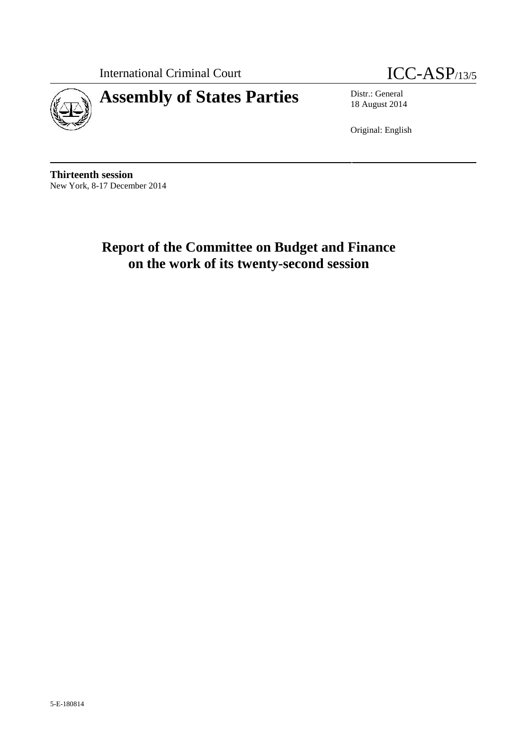International Criminal Court **ICC-ASP**/13/5



18 August 2014

Original: English

**Thirteenth session** New York, 8-17 December 2014

> **Report of the Committee on Budget and Finance on the work of its twenty-second session**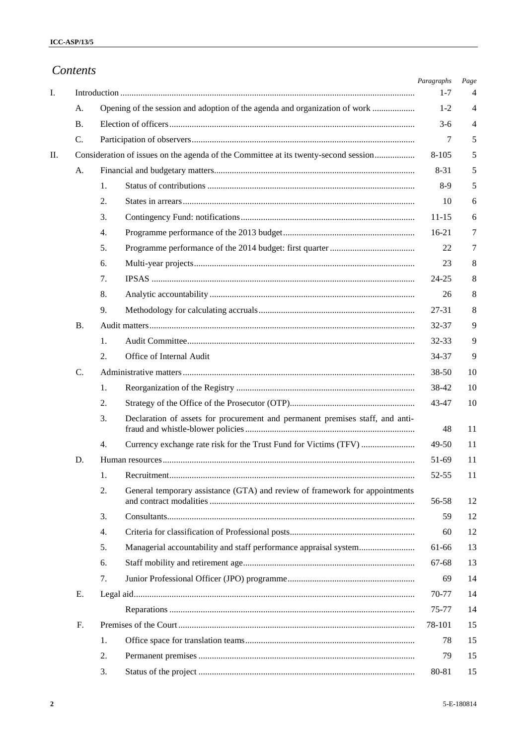|     | Contents        |                                                                                     | Paragraphs | Page |
|-----|-----------------|-------------------------------------------------------------------------------------|------------|------|
| I.  |                 |                                                                                     | $1 - 7$    | 4    |
|     | A.              | Opening of the session and adoption of the agenda and organization of work          | $1 - 2$    | 4    |
|     | <b>B.</b>       |                                                                                     | $3-6$      | 4    |
|     | C.              |                                                                                     | 7          | 5    |
| II. |                 | Consideration of issues on the agenda of the Committee at its twenty-second session | $8 - 105$  | 5    |
|     | A.              |                                                                                     | $8 - 31$   | 5    |
|     |                 | 1.                                                                                  | $8-9$      | 5    |
|     |                 | 2.                                                                                  | 10         | 6    |
|     |                 | 3.                                                                                  | $11 - 15$  | 6    |
|     |                 | 4.                                                                                  | $16-21$    | 7    |
|     |                 | 5.                                                                                  | 22         | 7    |
|     |                 | 6.                                                                                  | 23         | 8    |
|     |                 | 7.                                                                                  | $24 - 25$  | 8    |
|     |                 | 8.                                                                                  | 26         | 8    |
|     |                 | 9.                                                                                  | 27-31      | 8    |
|     | <b>B.</b>       |                                                                                     | 32-37      | 9    |
|     |                 | 1.                                                                                  | 32-33      | 9    |
|     |                 | Office of Internal Audit<br>2.                                                      | 34-37      | 9    |
|     | $\mathcal{C}$ . |                                                                                     | 38-50      | 10   |
|     |                 | 1.                                                                                  | 38-42      | 10   |
|     |                 | 2.                                                                                  | 43-47      | 10   |
|     |                 | Declaration of assets for procurement and permanent premises staff, and anti-<br>3. | 48         | 11   |
|     |                 | 4.                                                                                  | 49-50      | 11   |
|     |                 |                                                                                     | 51-69      | 11   |
|     |                 | 1.                                                                                  | 52-55      | 11   |
|     |                 | 2.<br>General temporary assistance (GTA) and review of framework for appointments   | 56-58      | 12   |
|     |                 | 3.                                                                                  | 59         | 12   |
|     |                 | 4.                                                                                  | 60         | 12   |
|     |                 | 5.<br>Managerial accountability and staff performance appraisal system              | 61-66      | 13   |
|     |                 | 6.                                                                                  | 67-68      | 13   |
|     |                 | 7.                                                                                  | 69         | 14   |
|     | Е.              |                                                                                     | 70-77      | 14   |
|     |                 |                                                                                     | 75-77      | 14   |
|     | F.              |                                                                                     | 78-101     | 15   |
|     |                 | 1.                                                                                  | 78         | 15   |
|     |                 | 2.                                                                                  | 79         | 15   |
|     |                 | 3.                                                                                  | 80-81      | 15   |

and the state of the state of the state of the state of the state of the state of the state of the state of the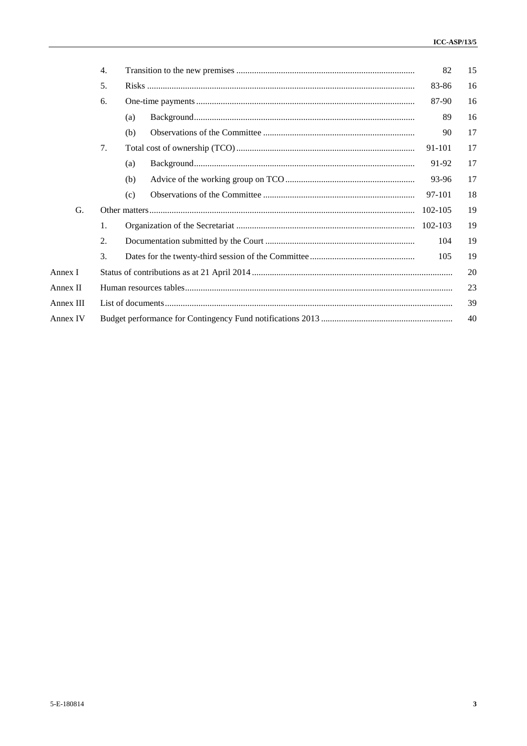|           | 4. |     | 82      | 15 |
|-----------|----|-----|---------|----|
|           | 5. |     | 83-86   | 16 |
|           | 6. |     | 87-90   | 16 |
|           |    | (a) | 89      | 16 |
|           |    | (b) | 90      | 17 |
|           | 7. |     | 91-101  | 17 |
|           |    | (a) | 91-92   | 17 |
|           |    | (b) | 93-96   | 17 |
|           |    | (c) | 97-101  | 18 |
| G.        |    |     | 102-105 | 19 |
|           | 1. |     | 102-103 | 19 |
|           | 2. |     | 104     | 19 |
|           | 3. |     | 105     | 19 |
| Annex I   |    |     |         | 20 |
| Annex II  |    |     |         | 23 |
| Annex III |    |     |         | 39 |
| Annex IV  |    |     |         | 40 |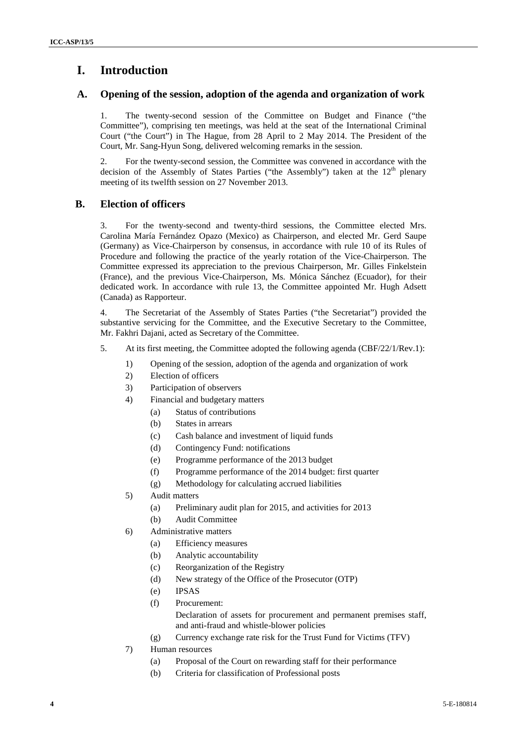## **I. Introduction**

### **A. Opening of the session, adoption of the agenda and organization of work**

1. The twenty-second session of the Committee on Budget and Finance ("the Committee"), comprising ten meetings, was held at the seat of the International Criminal Court ("the Court") in The Hague, from 28 April to 2 May 2014. The President of the Court, Mr. Sang-Hyun Song, delivered welcoming remarks in the session.

2. For the twenty-second session, the Committee was convened in accordance with the decision of the Assembly of States Parties ("the Assembly") taken at the  $12<sup>th</sup>$  plenary meeting of its twelfth session on 27 November 2013.

## **B. Election of officers**

3. For the twenty-second and twenty-third sessions, the Committee elected Mrs. Carolina María Fernández Opazo (Mexico) as Chairperson, and elected Mr. Gerd Saupe (Germany) as Vice-Chairperson by consensus, in accordance with rule 10 of its Rules of Procedure and following the practice of the yearly rotation of the Vice-Chairperson. The Committee expressed its appreciation to the previous Chairperson, Mr. Gilles Finkelstein (France), and the previous Vice-Chairperson, Ms. Mónica Sánchez (Ecuador), for their dedicated work. In accordance with rule 13, the Committee appointed Mr. Hugh Adsett (Canada) as Rapporteur.

4. The Secretariat of the Assembly of States Parties ("the Secretariat") provided the substantive servicing for the Committee, and the Executive Secretary to the Committee, Mr. Fakhri Dajani, acted as Secretary of the Committee.

- 5. At its first meeting, the Committee adopted the following agenda (CBF/22/1/Rev.1):
	- 1) Opening of the session, adoption of the agenda and organization of work
	- 2) Election of officers
	- 3) Participation of observers
	- 4) Financial and budgetary matters
		- (a) Status of contributions
		- (b) States in arrears
		- (c) Cash balance and investment of liquid funds
		- (d) Contingency Fund: notifications
		- (e) Programme performance of the 2013 budget
		- (f) Programme performance of the 2014 budget: first quarter
		- (g) Methodology for calculating accrued liabilities
	- 5) Audit matters
		- (a) Preliminary audit plan for 2015, and activities for 2013
		- (b) Audit Committee
	- 6) Administrative matters
		- (a) Efficiency measures
		- (b) Analytic accountability
		- (c) Reorganization of the Registry
		- (d) New strategy of the Office of the Prosecutor (OTP)
		- (e) IPSAS
		- (f) Procurement:
			- Declaration of assets for procurement and permanent premises staff, and anti-fraud and whistle-blower policies
		- (g) Currency exchange rate risk for the Trust Fund for Victims (TFV)
	- 7) Human resources
		- (a) Proposal of the Court on rewarding staff for their performance
		- (b) Criteria for classification of Professional posts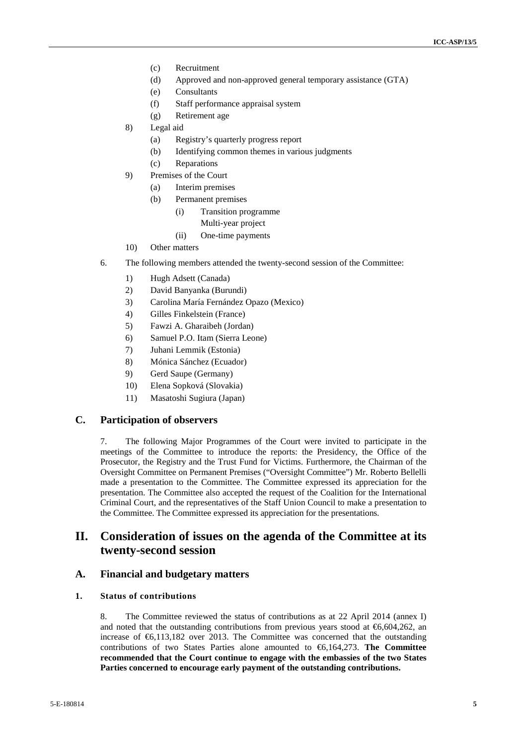- (c) Recruitment
- (d) Approved and non-approved general temporary assistance (GTA)
- (e) Consultants
- (f) Staff performance appraisal system
- (g) Retirement age
- 8) Legal aid
	- (a) Registry's quarterly progress report
	- (b) Identifying common themes in various judgments
	- (c) Reparations
- 9) Premises of the Court
	- (a) Interim premises
	- (b) Permanent premises
		- (i) Transition programme
			- Multi-year project
			- (ii) One-time payments
- 10) Other matters
- 6. The following members attended the twenty-second session of the Committee:
	- 1) Hugh Adsett (Canada)
	- 2) David Banyanka (Burundi)
	- 3) Carolina María Fernández Opazo (Mexico)
	- 4) Gilles Finkelstein (France)
	- 5) Fawzi A. Gharaibeh (Jordan)
	- 6) Samuel P.O. Itam (Sierra Leone)
	- 7) Juhani Lemmik (Estonia)
	- 8) Mónica Sánchez (Ecuador)
	- 9) Gerd Saupe (Germany)
	- 10) Elena Sopková (Slovakia)
	- 11) Masatoshi Sugiura (Japan)

#### **C. Participation of observers**

7. The following Major Programmes of the Court were invited to participate in the meetings of the Committee to introduce the reports: the Presidency, the Office of the Prosecutor, the Registry and the Trust Fund for Victims. Furthermore, the Chairman of the Oversight Committee on Permanent Premises ("Oversight Committee") Mr. Roberto Bellelli made a presentation to the Committee. The Committee expressed its appreciation for the presentation. The Committee also accepted the request of the Coalition for the International Criminal Court, and the representatives of the Staff Union Council to make a presentation to the Committee. The Committee expressed its appreciation for the presentations.

## **II. Consideration of issues on the agenda of the Committee at its twenty-second session**

#### **A. Financial and budgetary matters**

### **1. Status of contributions**

8. The Committee reviewed the status of contributions as at 22 April 2014 (annex I) and noted that the outstanding contributions from previous years stood at  $\epsilon$ 6,604,262, an increase of €6,113,182 over 2013. The Committee was concerned that the outstanding contributions of two States Parties alone amounted to €6,164,273. **The Committee recommended that the Court continue to engage with the embassies of the two States Parties concerned to encourage early payment of the outstanding contributions.**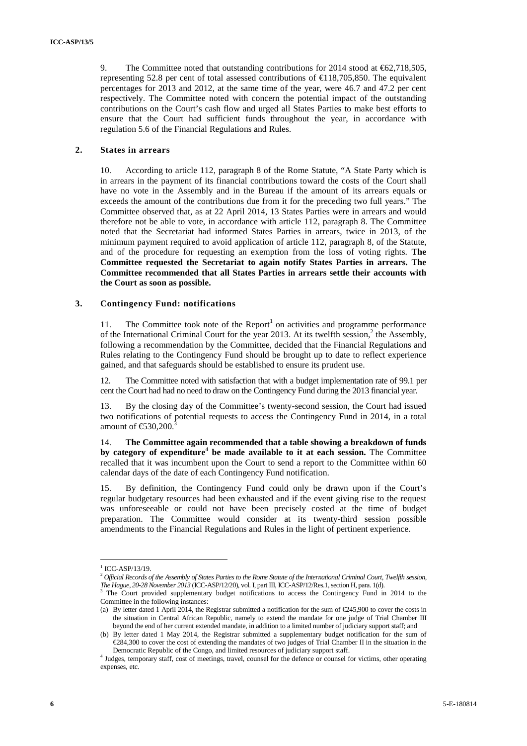9. The Committee noted that outstanding contributions for 2014 stood at €62,718,505, representing 52.8 per cent of total assessed contributions of  $\in$  18,705,850. The equivalent percentages for 2013 and 2012, at the same time of the year, were 46.7 and 47.2 per cent respectively. The Committee noted with concern the potential impact of the outstanding contributions on the Court's cash flow and urged all States Parties to make best efforts to ensure that the Court had sufficient funds throughout the year, in accordance with regulation 5.6 of the Financial Regulations and Rules.

#### **2. States in arrears**

10. According to article 112, paragraph 8 of the Rome Statute, "A State Party which is in arrears in the payment of its financial contributions toward the costs of the Court shall have no vote in the Assembly and in the Bureau if the amount of its arrears equals or exceeds the amount of the contributions due from it for the preceding two full years." The Committee observed that, as at 22 April 2014, 13 States Parties were in arrears and would therefore not be able to vote, in accordance with article 112, paragraph 8. The Committee noted that the Secretariat had informed States Parties in arrears, twice in 2013, of the minimum payment required to avoid application of article 112, paragraph 8, of the Statute, and of the procedure for requesting an exemption from the loss of voting rights. **The Committee requested the Secretariat to again notify States Parties in arrears. The Committee recommended that all States Parties in arrears settle their accounts with the Court as soon as possible.**

#### **3. Contingency Fund: notifications**

11. The Committee took note of the  $Report<sup>1</sup>$  on activities and programme performance of the International Criminal Court for the year 2013. At its twelfth session,<sup>2</sup> the Assembly, following a recommendation by the Committee, decided that the Financial Regulations and Rules relating to the Contingency Fund should be brought up to date to reflect experience gained, and that safeguards should be established to ensure its prudent use.

12. The Committee noted with satisfaction that with a budget implementation rate of 99.1 per cent the Court had had no need to draw on the Contingency Fund during the 2013 financial year.

13. By the closing day of the Committee's twenty-second session, the Court had issued two notifications of potential requests to access the Contingency Fund in 2014, in a total amount of  $\bigoplus 30,200$ .

14. **The Committee again recommended that a table showing a breakdown of funds by category of expenditure**<sup>4</sup> **be made available to it at each session.** The Committee recalled that it was incumbent upon the Court to send a report to the Committee within 60 calendar days of the date of each Contingency Fund notification.

15. By definition, the Contingency Fund could only be drawn upon if the Court's regular budgetary resources had been exhausted and if the event giving rise to the request was unforeseeable or could not have been precisely costed at the time of budget preparation. The Committee would consider at its twenty-third session possible amendments to the Financial Regulations and Rules in the light of pertinent experience.

 $1$  ICC-ASP/13/19.

<sup>2</sup> *Official Records of the Assembly of States Parties to the Rome Statute of the International Criminal Court, Twelfth session, The Hague, 20-28 November 2013* (ICC-ASP/12/20), vol. I, part III, ICC-ASP/12/Res.1, section H, para. 1(d). <sup>3</sup> The Court provided supplementary budget notifications to access the Contingency Fund in 2014 to the

Committee in the following instances:

<sup>(</sup>a) By letter dated 1 April 2014, the Registrar submitted a notification for the sum of  $\epsilon$ 245,900 to cover the costs in the situation in Central African Republic, namely to extend the mandate for one judge of Trial Chamber III beyond the end of her current extended mandate, in addition to a limited number of judiciary support staff; and

<sup>(</sup>b) By letter dated 1 May 2014, the Registrar submitted a supplementary budget notification for the sum of €284,300 to cover the cost of extending the mandates of two judges of Trial Chamber II in the situation in the Democratic Republic of the Congo, and limited resources of judiciary support staff.

<sup>&</sup>lt;sup>4</sup> Judges, temporary staff, cost of meetings, travel, counsel for the defence or counsel for victims, other operating expenses, etc.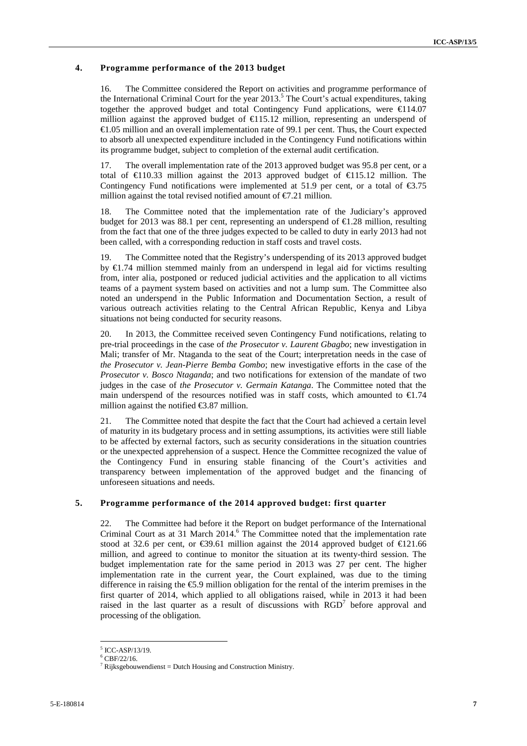#### **4. Programme performance of the 2013 budget**

16. The Committee considered the Report on activities and programme performance of the International Criminal Court for the year  $2013<sup>5</sup>$ . The Court's actual expenditures, taking together the approved budget and total Contingency Fund applications, were  $\in$  14.07 million against the approved budget of  $\bigoplus$  15.12 million, representing an underspend of €1.05 million and an overall implementation rate of 99.1 per cent. Thus, the Court expected to absorb all unexpected expenditure included in the Contingency Fund notifications within its programme budget, subject to completion of the external audit certification.

17. The overall implementation rate of the 2013 approved budget was 95.8 per cent, or a total of  $\in$ 10.33 million against the 2013 approved budget of  $\in$ 15.12 million. The Contingency Fund notifications were implemented at 51.9 per cent, or a total of  $\epsilon$ 3.75 million against the total revised notified amount of  $\epsilon 7.21$  million.

18. The Committee noted that the implementation rate of the Judiciary's approved budget for 2013 was 88.1 per cent, representing an underspend of  $\epsilon$ 1.28 million, resulting from the fact that one of the three judges expected to be called to duty in early 2013 had not been called, with a corresponding reduction in staff costs and travel costs.

19. The Committee noted that the Registry's underspending of its 2013 approved budget by €1.74 million stemmed mainly from an underspend in legal aid for victims resulting from, inter alia, postponed or reduced judicial activities and the application to all victims teams of a payment system based on activities and not a lump sum. The Committee also noted an underspend in the Public Information and Documentation Section, a result of various outreach activities relating to the Central African Republic, Kenya and Libya situations not being conducted for security reasons.

20. In 2013, the Committee received seven Contingency Fund notifications, relating to pre-trial proceedings in the case of *the Prosecutor v. Laurent Gbagbo*; new investigation in Mali; transfer of Mr. Ntaganda to the seat of the Court; interpretation needs in the case of *the Prosecutor v. Jean-Pierre Bemba Gombo*; new investigative efforts in the case of the *Prosecutor v. Bosco Ntaganda*; and two notifications for extension of the mandate of two judges in the case of *the Prosecutor v. Germain Katanga*. The Committee noted that the main underspend of the resources notified was in staff costs, which amounted to  $\epsilon 1.74$ million against the notified  $\text{\textsterling}3.87$  million.

21. The Committee noted that despite the fact that the Court had achieved a certain level of maturity in its budgetary process and in setting assumptions, its activities were still liable to be affected by external factors, such as security considerations in the situation countries or the unexpected apprehension of a suspect. Hence the Committee recognized the value of the Contingency Fund in ensuring stable financing of the Court's activities and transparency between implementation of the approved budget and the financing of unforeseen situations and needs.

#### **5. Programme performance of the 2014 approved budget: first quarter**

22. The Committee had before it the Report on budget performance of the International Criminal Court as at 31 March 2014.<sup>6</sup> The Committee noted that the implementation rate stood at 32.6 per cent, or  $\epsilon$ 39.61 million against the 2014 approved budget of  $\epsilon$ 121.66 million, and agreed to continue to monitor the situation at its twenty-third session. The budget implementation rate for the same period in 2013 was 27 per cent. The higher implementation rate in the current year, the Court explained, was due to the timing difference in raising the €5.9 million obligation for the rental of the interim premises in the first quarter of 2014, which applied to all obligations raised, while in 2013 it had been raised in the last quarter as a result of discussions with RGD<sup>7</sup> before approval and processing of the obligation.

 $^5$  ICC-ASP/13/19.<br> $^6$ CBF/22/16.

<sup>&</sup>lt;sup>7</sup> Rijksgebouwendienst = Dutch Housing and Construction Ministry.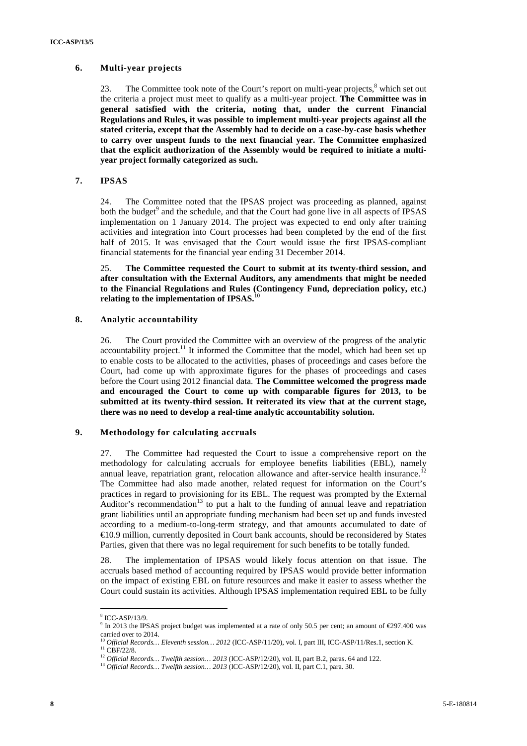#### **6. Multi-year projects**

23. The Committee took note of the Court's report on multi-year projects,  $\delta$  which set out the criteria a project must meet to qualify as a multi-year project. **The Committee was in general satisfied with the criteria, noting that, under the current Financial Regulations and Rules, it was possible to implement multi-year projects against all the stated criteria, except that the Assembly had to decide on a case-by-case basis whether to carry over unspent funds to the next financial year. The Committee emphasized that the explicit authorization of the Assembly would be required to initiate a multi year project formally categorized assuch.**

#### **7. IPSAS**

24. The Committee noted that the IPSAS project was proceeding as planned, against both the budget<sup>9</sup> and the schedule, and that the Court had gone live in all aspects of IPSAS implementation on 1 January 2014. The project was expected to end only after training activities and integration into Court processes had been completed by the end of the first half of 2015. It was envisaged that the Court would issue the first IPSAS-compliant financial statements for the financial year ending 31 December 2014.

25. **The Committee requested the Court to submit at its twenty-third session, and after consultation with the External Auditors, any amendments that might be needed to the Financial Regulations and Rules (Contingency Fund, depreciation policy, etc.) relating** to the implementation of IPSAS.<sup>1</sup>

#### **8. Analytic accountability**

26. The Court provided the Committee with an overview of the progress of the analytic accountability project.<sup>11</sup> It informed the Committee that the model, which had been set up to enable costs to be allocated to the activities, phases of proceedings and cases before the Court, had come up with approximate figures for the phases of proceedings and cases before the Court using 2012 financial data. **The Committee welcomed the progress made and encouraged the Court to come up with comparable figures for 2013, to be submitted at its twenty-third session. It reiterated its view that at the current stage, there was no need to develop a real-time analytic accountability solution.**

#### **9. Methodology for calculating accruals**

27. The Committee had requested the Court to issue a comprehensive report on the methodology for calculating accruals for employee benefits liabilities (EBL), namely annual leave, repatriation grant, relocation allowance and after-service health insurance.<sup>12</sup> The Committee had also made another, related request for information on the Court's practices in regard to provisioning for its EBL. The request was prompted by the External Auditor's recommendation<sup>13</sup> to put a halt to the funding of annual leave and repatriation grant liabilities until an appropriate funding mechanism had been set up and funds invested according to a medium-to-long-term strategy, and that amounts accumulated to date of €10.9 million, currently deposited in Court bank accounts, should be reconsidered by States Parties, given that there was no legal requirement for such benefits to be totally funded.

28. The implementation of IPSAS would likely focus attention on that issue. The accruals based method of accounting required by IPSAS would provide better information on the impact of existing EBL on future resources and make it easier to assess whether the Court could sustain its activities. Although IPSAS implementation required EBL to be fully

<sup>8</sup> ICC-ASP/13/9.

<sup>9</sup> In 2013 the IPSAS project budget was implemented at a rate of only 50.5 per cent; an amount of  $\epsilon$ 297.400 was carried over to 2014.

<sup>&</sup>lt;sup>10</sup> *Official Records… Eleventh session…* 2012 (ICC-ASP/11/20), vol. I, part III, ICC-ASP/11/Res.1, section K. <sup>11</sup> CBF/22/8.

<sup>12</sup> *Official Records… Twelfth session… <sup>2013</sup>* (ICC-ASP/12/20), vol. II, part B.2, paras. 64 and 122. <sup>13</sup> *Official Records… Twelfth session… <sup>2013</sup>* (ICC-ASP/12/20), vol. II, part C.1, para. 30.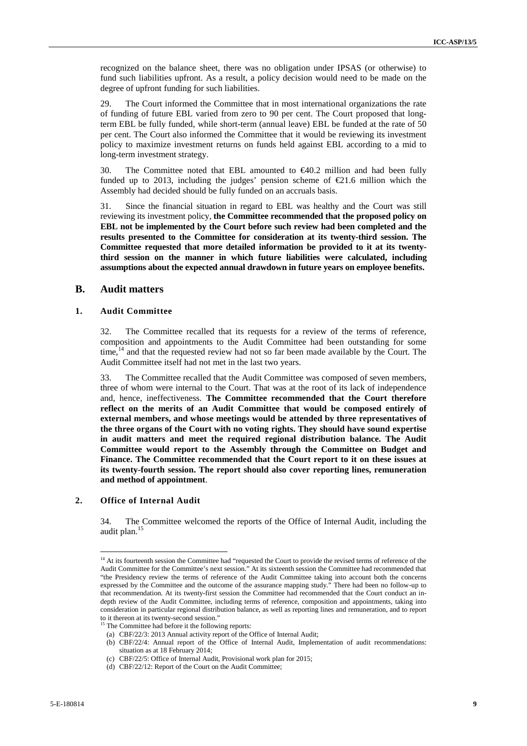recognized on the balance sheet, there was no obligation under IPSAS (or otherwise) to fund such liabilities upfront. As a result, a policy decision would need to be made on the degree of upfront funding for such liabilities.

29. The Court informed the Committee that in most international organizations the rate of funding of future EBL varied from zero to 90 per cent. The Court proposed that longterm EBL be fully funded, while short-term (annual leave) EBL be funded at the rate of 50 per cent. The Court also informed the Committee that it would be reviewing its investment policy to maximize investment returns on funds held against EBL according to a mid to long-term investment strategy.

30. The Committee noted that EBL amounted to  $\epsilon$ 40.2 million and had been fully funded up to 2013, including the judges' pension scheme of  $\epsilon$ 21.6 million which the Assembly had decided should be fully funded on an accruals basis.

31. Since the financial situation in regard to EBL was healthy and the Court was still reviewing its investment policy, **the Committee recommended that the proposed policy on EBL not be implemented by the Court before such review had been completed and the results presented to the Committee for consideration at its twenty-third session. The Committee requested that more detailed information be provided to it at its twentythird session on the manner in which future liabilities were calculated, including assumptions about the expected annual drawdown in future years on employee benefits.**

### **B. Audit matters**

#### **1. Audit Committee**

32. The Committee recalled that its requests for a review of the terms of reference, composition and appointments to the Audit Committee had been outstanding for some time,<sup>14</sup> and that the requested review had not so far been made available by the Court. The Audit Committee itself had not met in the last two years.

33. The Committee recalled that the Audit Committee was composed of seven members, three of whom were internal to the Court. That was at the root of its lack of independence and, hence, ineffectiveness. **The Committee recommended that the Court therefore reflect on the merits of an Audit Committee that would be composed entirely of external members, and whose meetings would be attended by three representatives of the three organs of the Court with no voting rights. They should have sound expertise in audit matters and meet the required regional distribution balance. The Audit Committee would report to the Assembly through the Committee on Budget and Finance. The Committee recommended that the Court report to it on these issues at its twenty-fourth session. The report should also cover reporting lines, remuneration and method of appointment**.

#### **2. Office of Internal Audit**

34. The Committee welcomed the reports of the Office of Internal Audit, including the audit plan.<sup>15</sup>

<sup>&</sup>lt;sup>14</sup> At its fourteenth session the Committee had "requested the Court to provide the revised terms of reference of the Audit Committee for the Committee's next session." At its sixteenth session the Committee had recommended that "the Presidency review the terms of reference of the Audit Committee taking into account both the concerns expressed by the Committee and the outcome of the assurance mapping study." There had been no follow-up to that recommendation. At its twenty-first session the Committee had recommended that the Court conduct an in depth review of the Audit Committee, including terms of reference, composition and appointments, taking into consideration in particular regional distribution balance, as well as reporting lines and remuneration, and to report to it thereon at its twenty-second session."

The Committee had before it the following reports:

<sup>(</sup>a) CBF/22/3: 2013 Annual activity report of the Office of Internal Audit;

<sup>(</sup>b) CBF/22/4: Annual report of the Office of Internal Audit, Implementation of audit recommendations: situation as at 18 February 2014;

<sup>(</sup>c) CBF/22/5: Office of Internal Audit, Provisional work plan for 2015;

<sup>(</sup>d) CBF/22/12: Report of the Court on the Audit Committee;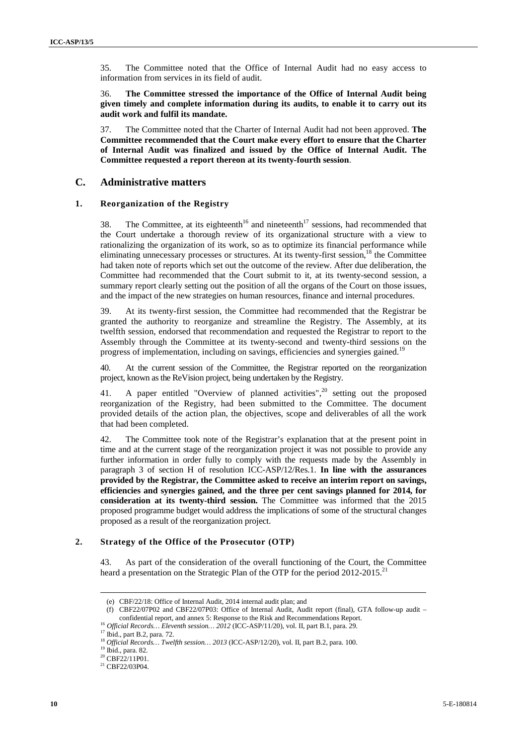35. The Committee noted that the Office of Internal Audit had no easy access to information from services in its field of audit.

36. **The Committee stressed the importance of the Office of Internal Audit being given timely and complete information during its audits, to enable it to carry out its audit work and fulfil its mandate.**

37. The Committee noted that the Charter of Internal Audit had not been approved. **The Committee recommended that the Court make every effort to ensure that the Charter of Internal Audit was finalized and issued by the Office of Internal Audit. The Committee requested a report thereon at its twenty-fourth session**.

### **C. Administrative matters**

#### **1. Reorganization of the Registry**

38. The Committee, at its eighteenth<sup>16</sup> and nineteenth<sup>17</sup> sessions, had recommended that the Court undertake a thorough review of its organizational structure with a view to rationalizing the organization of its work, so as to optimize its financial performance while eliminating unnecessary processes or structures. At its twenty-first session,<sup>18</sup> the Committee had taken note of reports which set out the outcome of the review. After due deliberation, the Committee had recommended that the Court submit to it, at its twenty-second session, a summary report clearly setting out the position of all the organs of the Court on those issues, and the impact of the new strategies on human resources, finance and internal procedures.

39. At its twenty-first session, the Committee had recommended that the Registrar be granted the authority to reorganize and streamline the Registry. The Assembly, at its twelfth session, endorsed that recommendation and requested the Registrar to report to the Assembly through the Committee at its twenty-second and twenty-third sessions on the progress of implementation, including on savings, efficiencies and synergies gained.<sup>19</sup>

At the current session of the Committee, the Registrar reported on the reorganization project, known asthe ReVision project, being undertaken by the Registry.

41. A paper entitled "Overview of planned activities",<sup>20</sup> setting out the proposed reorganization of the Registry, had been submitted to the Committee. The document provided details of the action plan, the objectives, scope and deliverables of all the work that had been completed.

42. The Committee took note of the Registrar's explanation that at the present point in time and at the current stage of the reorganization project it was not possible to provide any further information in order fully to comply with the requests made by the Assembly in paragraph 3 of section H of resolution ICC-ASP/12/Res.1. **In line with the assurances provided by the Registrar, the Committee asked to receive an interim report on savings, efficiencies and synergies gained, and the three per cent savings planned for 2014, for consideration at its twenty-third session.** The Committee was informed that the 2015 proposed programme budget would address the implications of some of the structural changes proposed as a result of the reorganization project.

#### **2. Strategy of the Office of the Prosecutor (OTP)**

43. As part of the consideration of the overall functioning of the Court, the Committee heard a presentation on the Strategic Plan of the OTP for the period 2012-2015.<sup>2</sup>

<sup>(</sup>e) CBF/22/18: Office of Internal Audit, 2014 internal audit plan; and

<sup>(</sup>f) CBF22/07P02 and CBF22/07P03: Office of Internal Audit, Audit report (final), GTA follow-up audit – confidential report, and annex 5: Response to the Risk and Recommendations Report.

 $^{16}$  Official Records... Eleventh session... 2012 (ICC-ASP/11/20), vol. II, part B.1, para. 29.  $^{17}$  Ibid., part B.2, para. 72.  $^{18}$  Official Records... Twelfth session... 2013 (ICC-ASP/12/20), vol. II, part B.2, pa

 $^{20}$  CBF22/11P01.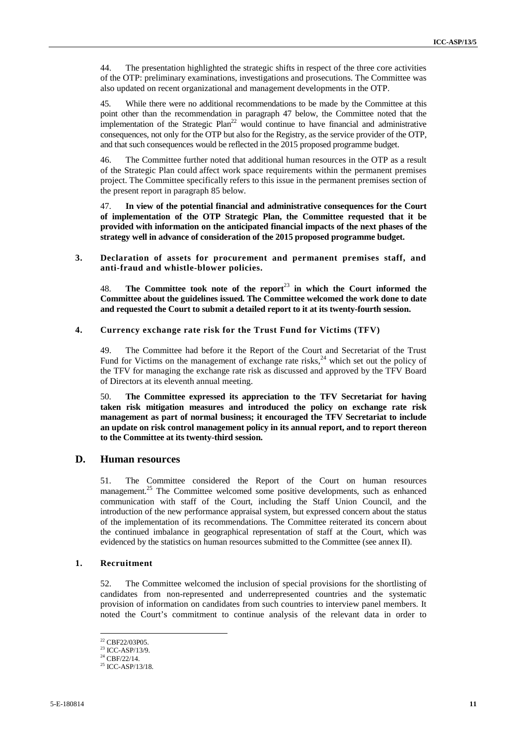44. The presentation highlighted the strategic shifts in respect of the three core activities of the OTP: preliminary examinations, investigations and prosecutions. The Committee was also updated on recent organizational and management developments in the OTP.

45. While there were no additional recommendations to be made by the Committee at this point other than the recommendation in paragraph 47 below, the Committee noted that the implementation of the Strategic Plan<sup>22</sup> would continue to have financial and administrative consequences, not only for the OTP but also for the Registry, as the service provider of the OTP, and that such consequences would be reflected in the 2015 proposed programme budget.

46. The Committee further noted that additional human resources in the OTP as a result of the Strategic Plan could affect work space requirements within the permanent premises project. The Committee specifically refers to this issue in the permanent premises section of the present report in paragraph 85 below.

47. **In view of the potential financial and administrative consequences for the Court of implementation of the OTP Strategic Plan, the Committee requested that it be provided with information on the anticipated financial impacts of the next phases of the strategy well in advance of consideration of the 2015 proposed programme budget.**

**3. Declaration of assets for procurement and permanent premises staff, and anti-fraud and whistle-blower policies.**

48. **The Committee took note of the report**<sup>23</sup> **in which the Court informed the Committee about the guidelines issued. The Committee welcomed the work done to date and requested the Court to submit a detailed report to it at its twenty-fourth session.**

#### **4. Currency exchange rate risk for the Trust Fund for Victims (TFV)**

49. The Committee had before it the Report of the Court and Secretariat of the Trust Fund for Victims on the management of exchange rate risks,  $^{24}$  which set out the policy of the TFV for managing the exchange rate risk as discussed and approved by the TFV Board of Directors at its eleventh annual meeting.

50. **The Committee expressed its appreciation to the TFV Secretariat for having taken risk mitigation measures and introduced the policy on exchange rate risk management as part of normal business; it encouraged the TFV Secretariat to include an update on risk control management policy in its annual report, and to report thereon to the Committee at its twenty-third session.**

#### **D. Human resources**

51. The Committee considered the Report of the Court on human resources management.<sup>25</sup> The Committee welcomed some positive developments, such as enhanced communication with staff of the Court, including the Staff Union Council, and the introduction of the new performance appraisal system, but expressed concern about the status of the implementation of its recommendations. The Committee reiterated its concern about the continued imbalance in geographical representation of staff at the Court, which was evidenced by the statistics on human resources submitted to the Committee (see annex II).

#### **1. Recruitment**

52. The Committee welcomed the inclusion of special provisions for the shortlisting of candidates from non-represented and underrepresented countries and the systematic provision of information on candidates from such countries to interview panel members. It noted the Court's commitment to continue analysis of the relevant data in order to

<sup>22</sup> CBF22/03P05.

 $23$  ICC-ASP/13/9.<br> $24$  CBF/22/14.

 $25$  ICC-ASP/13/18.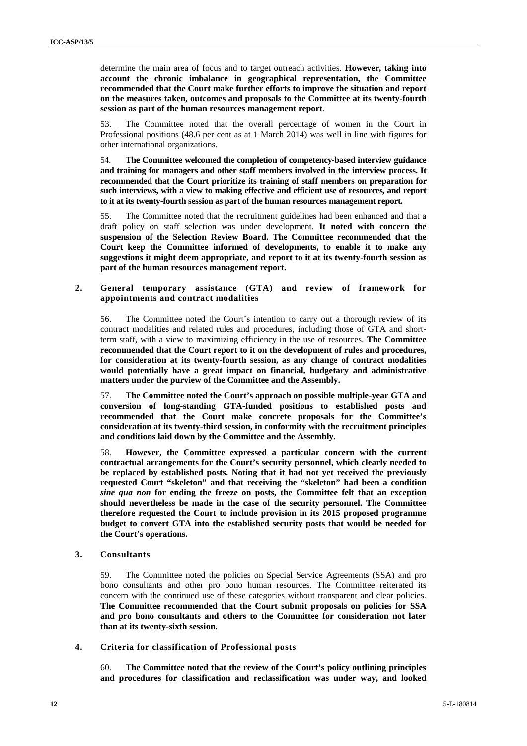determine the main area of focus and to target outreach activities. **However, taking into account the chronic imbalance in geographical representation, the Committee recommended that the Court make further efforts to improve the situation and report on the measures taken, outcomes and proposals to the Committee at its twenty-fourth session as part of the human resources management report**.

53. The Committee noted that the overall percentage of women in the Court in Professional positions (48.6 per cent as at 1 March 2014) was well in line with figures for other international organizations.

54. **The Committee welcomed the completion of competency-based interview guidance and training for managers and other staff members involved in the interview process. It recommended that the Court prioritize its training of staff members on preparation for such interviews, with a view to making effective and efficient use of resources, and report to it at its twenty-fourth session as part of the human resources management report.**

55. The Committee noted that the recruitment guidelines had been enhanced and that a draft policy on staff selection was under development. **It noted with concern the suspension of the Selection Review Board. The Committee recommended that the Court keep the Committee informed of developments, to enable it to make any suggestions it might deem appropriate, and report to it at its twenty-fourth session as part of the human resources management report.**

**2. General temporary assistance (GTA) and review of framework for appointments and contract modalities**

56. The Committee noted the Court's intention to carry out a thorough review of its contract modalities and related rules and procedures, including those of GTA and shortterm staff, with a view to maximizing efficiency in the use of resources. **The Committee recommended that the Court report to it on the development of rules and procedures, for consideration at its twenty-fourth session, as any change of contract modalities would potentially have a great impact on financial, budgetary and administrative matters under the purview of the Committee and the Assembly.**

57. **The Committee noted the Court's approach on possible multiple-year GTA and conversion of long-standing GTA-funded positions to established posts and recommended that the Court make concrete proposals for the Committee's consideration at its twenty-third session, in conformity with the recruitment principles and conditions laid down by the Committee and the Assembly.**

58. **However, the Committee expressed a particular concern with the current contractual arrangements for the Court's security personnel, which clearly needed to be replaced by established posts. Noting that it had not yet received the previously requested Court "skeleton" and that receiving the "skeleton" had been a condition** *sine qua non* **for ending the freeze on posts, the Committee felt that an exception should nevertheless be made in the case of the security personnel. The Committee therefore requested the Court to include provision in its 2015 proposed programme budget to convert GTA into the established security posts that would be needed for the Court's operations.**

#### **3. Consultants**

59. The Committee noted the policies on Special Service Agreements (SSA) and pro bono consultants and other pro bono human resources. The Committee reiterated its concern with the continued use of these categories without transparent and clear policies. **The Committee recommended that the Court submit proposals on policies for SSA and pro bono consultants and others to the Committee for consideration not later than at its twenty-sixth session.**

#### **4. Criteria for classification of Professional posts**

60. **The Committee noted that the review of the Court's policy outlining principles and procedures for classification and reclassification was under way, and looked**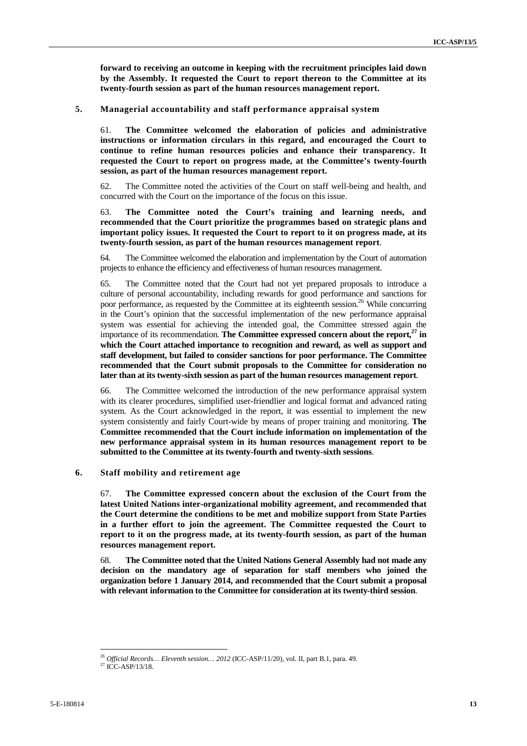**forward to receiving an outcome in keeping with the recruitment principles laid down by the Assembly. It requested the Court to report thereon to the Committee at its twenty-fourth session as part of the human resources management report.**

#### **5. Managerial accountability and staff performance appraisal system**

61. **The Committee welcomed the elaboration of policies and administrative instructions or information circulars in this regard, and encouraged the Court to continue to refine human resources policies and enhance their transparency. It requested the Court to report on progress made, at the Committee's twenty-fourth session, as part of the human resources management report.**

62. The Committee noted the activities of the Court on staff well-being and health, and concurred with the Court on the importance of the focus on this issue.

63. **The Committee noted the Court's training and learning needs, and recommended that the Court prioritize the programmes based on strategic plans and important policy issues. It requested the Court to report to it on progress made, at its twenty-fourth session, as part of the human resources management report**.

64. The Committee welcomed the elaboration and implementation by the Court of automation projects to enhance the efficiency and effectiveness of human resources management.

65. The Committee noted that the Court had not yet prepared proposals to introduce a culture of personal accountability, including rewards for good performance and sanctions for poor performance, as requested by the Committee at its eighteenth session.<sup>26</sup> While concurring in the Court's opinion that the successful implementation of the new performance appraisal system was essential for achieving the intended goal, the Committee stressed again the importance of its recommendation. **The Committee expressed concern about the report,<sup>27</sup> in which the Court attached importance to recognition and reward, as well as support and staff development, but failed to consider sanctions for poor performance. The Committee recommended that the Court submit proposals to the Committee for consideration no later than at its twenty-sixth session as part of the human resources management report**.

66. The Committee welcomed the introduction of the new performance appraisal system with its clearer procedures, simplified user-friendlier and logical format and advanced rating system. As the Court acknowledged in the report, it was essential to implement the new system consistently and fairly Court-wide by means of proper training and monitoring. **The Committee recommended that the Court include information on implementation of the new performance appraisal system in its human resources management report to be submitted to the Committee at its twenty-fourth and twenty-sixth sessions**.

#### **6. Staff mobility and retirement age**

67. **The Committee expressed concern about the exclusion of the Court from the latest United Nations inter-organizational mobility agreement, and recommended that the Court determine the conditions to be met and mobilize support from State Parties in a further effort to join the agreement. The Committee requested the Court to report to it on the progress made, at its twenty-fourth session, as part of the human resources management report.**

68. **The Committee noted that the United Nations General Assembly had not made any decision on the mandatory age of separation for staff members who joined the organization before 1 January 2014, and recommended that the Court submit a proposal with relevant information to the Committee for consideration at its twenty-third session**.

<sup>26</sup> *Official Records… Eleventh session… <sup>2012</sup>* (ICC-ASP/11/20), vol. II, part B.1, para. 49. <sup>27</sup> ICC-ASP/13/18.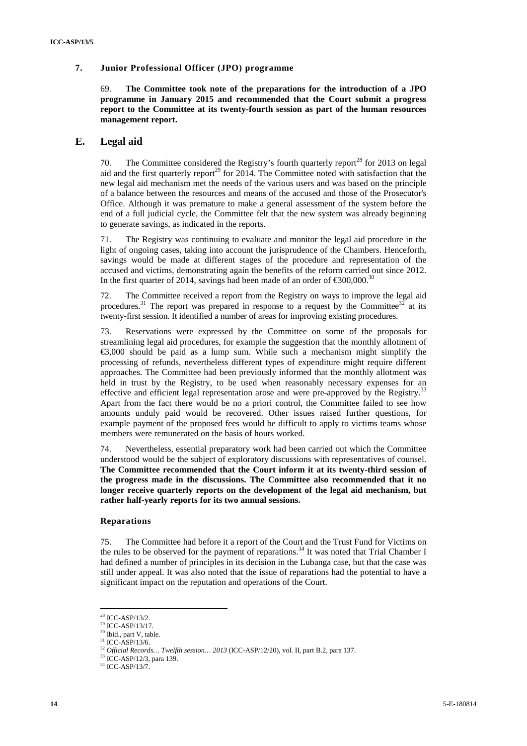#### **7. Junior Professional Officer (JPO) programme**

69. **The Committee took note of the preparations for the introduction of a JPO programme in January 2015 and recommended that the Court submit a progress report to the Committee at its twenty-fourth session as part of the human resources management report.**

### **E. Legal aid**

70. The Committee considered the Registry's fourth quarterly report<sup>28</sup> for 2013 on legal aid and the first quarterly report<sup>29</sup> for 2014. The Committee noted with satisfaction that the new legal aid mechanism met the needs of the various users and was based on the principle of a balance between the resources and means of the accused and those of the Prosecutor's Office. Although it was premature to make a general assessment of the system before the end of a full judicial cycle, the Committee felt that the new system was already beginning to generate savings, as indicated in the reports.

71. The Registry was continuing to evaluate and monitor the legal aid procedure in the light of ongoing cases, taking into account the jurisprudence of the Chambers. Henceforth, savings would be made at different stages of the procedure and representation of the accused and victims, demonstrating again the benefits of the reform carried out since 2012. In the first quarter of 2014, savings had been made of an order of  $\epsilon$ 300,000.<sup>30</sup>

72. The Committee received a report from the Registry on ways to improve the legal aid procedures.<sup>31</sup> The report was prepared in response to a request by the Committee<sup>32</sup> at its twenty-first session. It identified a number of areas for improving existing procedures.

73. Reservations were expressed by the Committee on some of the proposals for streamlining legal aid procedures, for example the suggestion that the monthly allotment of  $\epsilon$ 3,000 should be paid as a lump sum. While such a mechanism might simplify the processing of refunds, nevertheless different types of expenditure might require different approaches. The Committee had been previously informed that the monthly allotment was held in trust by the Registry, to be used when reasonably necessary expenses for an effective and efficient legal representation arose and were pre-approved by the Registry.<sup>33</sup> Apart from the fact there would be no a priori control, the Committee failed to see how amounts unduly paid would be recovered. Other issues raised further questions, for example payment of the proposed fees would be difficult to apply to victims teams whose members were remunerated on the basis of hours worked.

74. Nevertheless, essential preparatory work had been carried out which the Committee understood would be the subject of exploratory discussions with representatives of counsel. **The Committee recommended that the Court inform it at its twenty-third session of the progress made in the discussions. The Committee also recommended that it no longer receive quarterly reports on the development of the legal aid mechanism, but rather half-yearly reports for its two annual sessions.**

#### **Reparations**

75. The Committee had before it a report of the Court and the Trust Fund for Victims on the rules to be observed for the payment of reparations.<sup>34</sup> It was noted that Trial Chamber I had defined a number of principles in its decision in the Lubanga case, but that the case was still under appeal. It was also noted that the issue of reparations had the potential to have a significant impact on the reputation and operations of the Court.

<sup>28</sup> ICC-ASP/13/2.

 $29$  ICC-ASP/13/17.

 $30$  Ibid., part V, table.<br> $31$  ICC-ASP/13/6.

<sup>&</sup>lt;sup>32</sup> *Official Records… Twelfth session… 2013* (ICC-ASP/12/20), vol. II, part B.2, para 137.<br><sup>33</sup> ICC-ASP/12/3, para 139.  ${}^{34}$  ICC-ASP/13/7.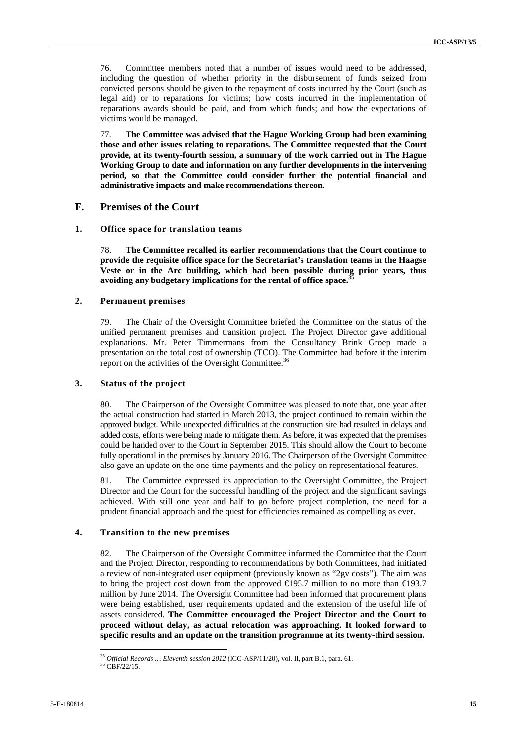76. Committee members noted that a number of issues would need to be addressed, including the question of whether priority in the disbursement of funds seized from convicted persons should be given to the repayment of costs incurred by the Court (such as legal aid) or to reparations for victims; how costs incurred in the implementation of reparations awards should be paid, and from which funds; and how the expectations of victims would be managed.

77. **The Committee was advised that the Hague Working Group had been examining those and other issues relating to reparations. The Committee requested that the Court provide, at its twenty-fourth session, a summary of the work carried out in The Hague Working Group to date and information on any further developments in the intervening period, so that the Committee could consider further the potential financial and administrative impacts and make recommendations thereon.**

#### **F. Premises of the Court**

#### **1. Office space for translation teams**

78. **The Committee recalled its earlier recommendations that the Court continue to provide the requisite office space for the Secretariat's translation teams in the Haagse Veste or in the Arc building, which had been possible during prior years, thus avoiding any budgetary implications for the rental of office space.**<sup>35</sup>

#### **2. Permanent premises**

79. The Chair of the Oversight Committee briefed the Committee on the status of the unified permanent premises and transition project. The Project Director gave additional explanations. Mr. Peter Timmermans from the Consultancy Brink Groep made a presentation on the total cost of ownership (TCO). The Committee had before it the interim report on the activities of the Oversight Committee.<sup>36</sup>

#### **3. Status of the project**

80. The Chairperson of the Oversight Committee was pleased to note that, one year after the actual construction had started in March 2013, the project continued to remain within the approved budget. While unexpected difficulties at the construction site had resulted in delays and added costs, efforts were being made to mitigate them. As before, it was expected that the premises could be handed over to the Court in September 2015. This should allow the Court to become fully operational in the premises by January 2016. The Chairperson of the Oversight Committee also gave an update on the one-time payments and the policy on representational features.

81. The Committee expressed its appreciation to the Oversight Committee, the Project Director and the Court for the successful handling of the project and the significant savings achieved. With still one year and half to go before project completion, the need for a prudent financial approach and the quest for efficiencies remained as compelling as ever.

#### **4. Transition to the new premises**

82. The Chairperson of the Oversight Committee informed the Committee that the Court and the Project Director, responding to recommendations by both Committees, had initiated a review of non-integrated user equipment (previously known as "2gv costs"). The aim was to bring the project cost down from the approved €195.7 million to no more than €193.7 million by June 2014. The Oversight Committee had been informed that procurement plans were being established, user requirements updated and the extension of the useful life of assets considered. **The Committee encouraged the Project Director and the Court to proceed without delay, as actual relocation was approaching. It looked forward to specific results and an update on the transition programme at its twenty-third session.**

<sup>&</sup>lt;sup>35</sup> *Official Records ... Eleventh session 2012* (ICC-ASP/11/20), vol. II, part B.1, para. 61.<br><sup>36</sup> CBF/22/15.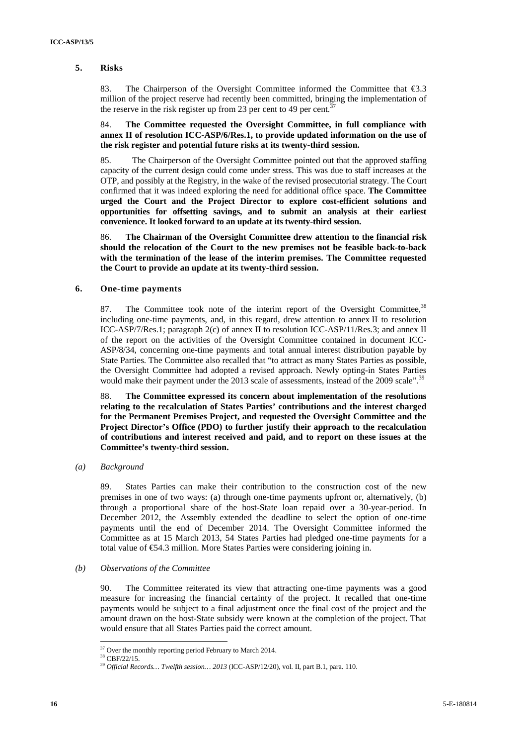### **5. Risks**

83. The Chairperson of the Oversight Committee informed the Committee that €3.3 million of the project reserve had recently been committed, bringing the implementation of the reserve in the risk register up from 23 per cent to 49 per cent.

#### 84. **The Committee requested the Oversight Committee, in full compliance with annex II of resolution ICC-ASP/6/Res.1, to provide updated information on the use of the risk register and potential future risks at its twenty-third session.**

85. The Chairperson of the Oversight Committee pointed out that the approved staffing capacity of the current design could come under stress. This was due to staff increases at the OTP, and possibly at the Registry, in the wake of the revised prosecutorial strategy. The Court confirmed that it was indeed exploring the need for additional office space. **The Committee urged the Court and the Project Director to explore cost-efficient solutions and opportunities for offsetting savings, and to submit an analysis at their earliest convenience. It looked forward to an update at its twenty-third session.**

86. **The Chairman of the Oversight Committee drew attention to the financial risk should the relocation of the Court to the new premises not be feasible back-to-back with the termination of the lease of the interim premises. The Committee requested the Court to provide an update at its twenty-third session.**

#### **6. One-time payments**

87. The Committee took note of the interim report of the Oversight Committee,<sup>38</sup> including one-time payments, and, in this regard, drew attention to annex II to resolution ICC-ASP/7/Res.1; paragraph 2(c) of annex II to resolution ICC-ASP/11/Res.3; and annex II of the report on the activities of the Oversight Committee contained in document ICC- ASP/8/34, concerning one-time payments and total annual interest distribution payable by State Parties. The Committee also recalled that "to attract as many States Parties as possible, the Oversight Committee had adopted a revised approach. Newly opting-in States Parties would make their payment under the 2013 scale of assessments, instead of the 2009 scale".<sup>39</sup>

88. **The Committee expressed its concern about implementation of the resolutions relating to the recalculation of States Parties' contributions and the interest charged for the Permanent Premises Project, and requested the Oversight Committee and the Project Director's Office (PDO) to further justify their approach to the recalculation of contributions and interest received and paid, and to report on these issues at the Committee's twenty-third session.**

*(a) Background*

89. States Parties can make their contribution to the construction cost of the new premises in one of two ways: (a) through one-time payments upfront or, alternatively, (b) through a proportional share of the host-State loan repaid over a 30-year-period. In December 2012, the Assembly extended the deadline to select the option of one-time payments until the end of December 2014. The Oversight Committee informed the Committee as at 15 March 2013, 54 States Parties had pledged one-time payments for a total value of €54.3 million. More States Parties were considering joining in.

#### *(b) Observations of the Committee*

90. The Committee reiterated its view that attracting one-time payments was a good measure for increasing the financial certainty of the project. It recalled that one-time payments would be subject to a final adjustment once the final cost of the project and the amount drawn on the host-State subsidy were known at the completion of the project. That would ensure that all States Parties paid the correct amount.

 $^{37}$  Over the monthly reporting period February to March 2014.  $^{38}$  CBF/22/15.

<sup>&</sup>lt;sup>39</sup> Official Records... Twelfth session... 2013 (ICC-ASP/12/20), vol. II, part B.1, para. 110.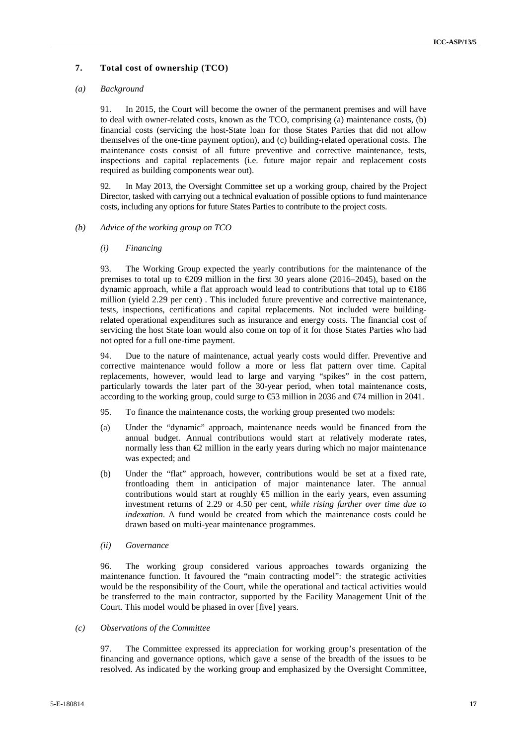#### **7. Total cost of ownership (TCO)**

#### *(a) Background*

91. In 2015, the Court will become the owner of the permanent premises and will have to deal with owner-related costs, known as the TCO, comprising (a) maintenance costs, (b) financial costs (servicing the host-State loan for those States Parties that did not allow themselves of the one-time payment option), and (c) building-related operational costs. The maintenance costs consist of all future preventive and corrective maintenance, tests, inspections and capital replacements (i.e. future major repair and replacement costs required as building components wear out).

92. In May 2013, the Oversight Committee set up a working group, chaired by the Project Director, tasked with carrying out a technical evaluation of possible options to fund maintenance costs, including any options for future States Parties to contribute to the project costs.

#### *(b) Advice of the working group on TCO*

#### *(i) Financing*

93. The Working Group expected the yearly contributions for the maintenance of the premises to total up to  $\text{\textsterling}209$  million in the first 30 years alone (2016–2045), based on the dynamic approach, while a flat approach would lead to contributions that total up to €186 million (yield 2.29 per cent) . This included future preventive and corrective maintenance, tests, inspections, certifications and capital replacements. Not included were buildingrelated operational expenditures such as insurance and energy costs*.* The financial cost of servicing the host State loan would also come on top of it for those States Parties who had not opted for a full one-time payment.

94. Due to the nature of maintenance, actual yearly costs would differ. Preventive and corrective maintenance would follow a more or less flat pattern over time. Capital replacements, however, would lead to large and varying "spikes" in the cost pattern, particularly towards the later part of the 30-year period, when total maintenance costs, according to the working group, could surge to  $\text{\textcircled{53}}$  million in 2036 and  $\text{\textcircled{f4}}$  million in 2041.

- 95. To finance the maintenance costs, the working group presented two models:
- (a) Under the "dynamic" approach, maintenance needs would be financed from the annual budget. Annual contributions would start at relatively moderate rates, normally less than  $\bigoplus$  million in the early years during which no major maintenance was expected; and
- (b) Under the "flat" approach, however, contributions would be set at a fixed rate, frontloading them in anticipation of major maintenance later. The annual contributions would start at roughly  $\epsilon$  million in the early years, even assuming investment returns of 2.29 or 4.50 per cent, *while rising further over time due to indexation*. A fund would be created from which the maintenance costs could be drawn based on multi-year maintenance programmes.
- *(ii) Governance*

96. The working group considered various approaches towards organizing the maintenance function. It favoured the "main contracting model": the strategic activities would be the responsibility of the Court, while the operational and tactical activities would be transferred to the main contractor, supported by the Facility Management Unit of the Court. This model would be phased in over [five] years.

*(c) Observations of the Committee*

97. The Committee expressed its appreciation for working group's presentation of the financing and governance options, which gave a sense of the breadth of the issues to be resolved. As indicated by the working group and emphasized by the Oversight Committee,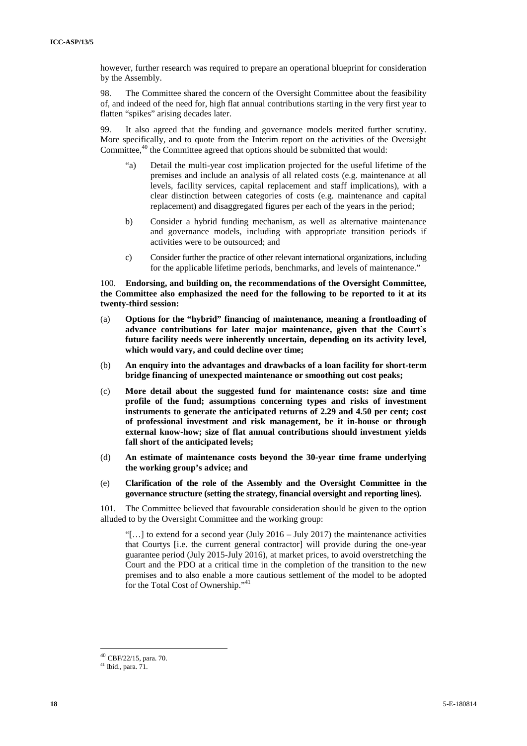however, further research was required to prepare an operational blueprint for consideration by the Assembly.

98. The Committee shared the concern of the Oversight Committee about the feasibility of, and indeed of the need for, high flat annual contributions starting in the very first year to flatten "spikes" arising decades later.

99. It also agreed that the funding and governance models merited further scrutiny. More specifically, and to quote from the Interim report on the activities of the Oversight Committee, $40$  the Committee agreed that options should be submitted that would:

- "a) Detail the multi-year cost implication projected for the useful lifetime of the premises and include an analysis of all related costs (e.g. maintenance at all levels, facility services, capital replacement and staff implications), with a clear distinction between categories of costs (e.g. maintenance and capital replacement) and disaggregated figures per each of the years in the period;
- b) Consider a hybrid funding mechanism, as well as alternative maintenance and governance models, including with appropriate transition periods if activities were to be outsourced; and
- c) Consider further the practice of other relevant international organizations, including for the applicable lifetime periods, benchmarks, and levels of maintenance."

100. **Endorsing, and building on, the recommendations of the Oversight Committee, the Committee also emphasized the need for the following to be reported to it at its twenty-third session:**

- (a) **Options for the "hybrid" financing of maintenance, meaning a frontloading of advance contributions for later major maintenance, given that the Court`s future facility needs were inherently uncertain, depending on its activity level, which would vary, and could decline over time;**
- (b) **An enquiry into the advantages and drawbacks of a loan facility for short-term bridge financing of unexpected maintenance or smoothing out cost peaks;**
- (c) **More detail about the suggested fund for maintenance costs: size and time profile of the fund; assumptions concerning types and risks of investment instruments to generate the anticipated returns of 2.29 and 4.50 per cent; cost of professional investment and risk management, be it in-house or through external know-how; size of flat annual contributions should investment yields fall short of the anticipated levels;**
- (d) **An estimate of maintenance costs beyond the 30-year time frame underlying the working group's advice; and**
- (e) **Clarification of the role of the Assembly and the Oversight Committee in the governance structure (setting the strategy, financial oversight and reporting lines).**

101. The Committee believed that favourable consideration should be given to the option alluded to by the Oversight Committee and the working group:

"[...] to extend for a second year (July 2016 – July 2017) the maintenance activities that Courtys [i.e. the current general contractor] will provide during the one-year guarantee period (July 2015-July 2016), at market prices, to avoid overstretching the Court and the PDO at a critical time in the completion of the transition to the new premises and to also enable a more cautious settlement of the model to be adopted for the Total Cost of Ownership."<sup>41</sup>

<sup>40</sup> CBF/22/15, para. 70.

 $41$  Ibid., para.  $71$ .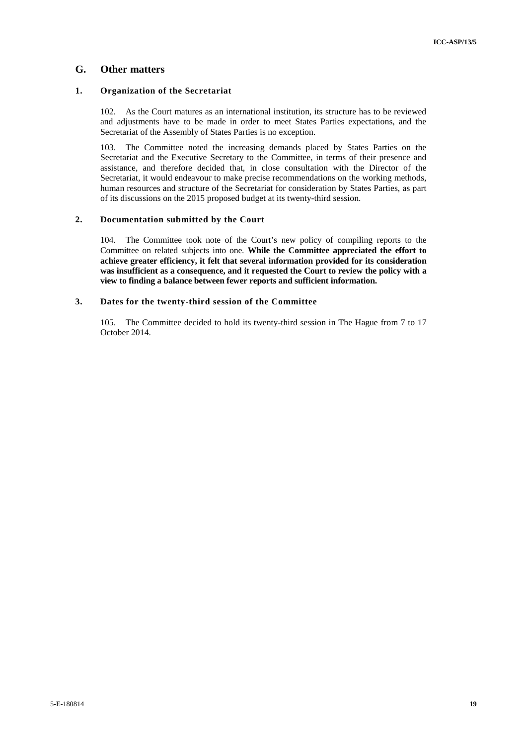## **G. Other matters**

#### **1. Organization of the Secretariat**

102. As the Court matures as an international institution, its structure has to be reviewed and adjustments have to be made in order to meet States Parties expectations, and the Secretariat of the Assembly of States Parties is no exception.

103. The Committee noted the increasing demands placed by States Parties on the Secretariat and the Executive Secretary to the Committee, in terms of their presence and assistance, and therefore decided that, in close consultation with the Director of the Secretariat, it would endeavour to make precise recommendations on the working methods, human resources and structure of the Secretariat for consideration by States Parties, as part of its discussions on the 2015 proposed budget at its twenty-third session.

#### **2. Documentation submitted by the Court**

104. The Committee took note of the Court's new policy of compiling reports to the Committee on related subjects into one. **While the Committee appreciated the effort to achieve greater efficiency, it felt that several information provided for its consideration was insufficient as a consequence, and it requested the Court to review the policy with a view to finding a balance between fewer reports and sufficient information.**

#### **3. Dates for the twenty-third session of the Committee**

105. The Committee decided to hold its twenty-third session in The Hague from 7 to 17 October 2014.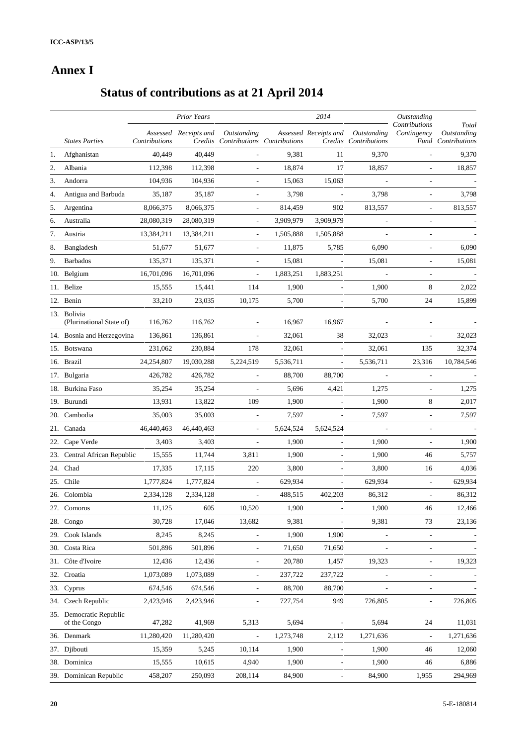## **Annex I**

# **Status of contributions as at 21 April 2014**

|     |                                         |               | <b>Prior Years</b>    |                                                    |           | 2014                     |                                      | Outstanding                  |                                            |
|-----|-----------------------------------------|---------------|-----------------------|----------------------------------------------------|-----------|--------------------------|--------------------------------------|------------------------------|--------------------------------------------|
|     | <b>States Parties</b>                   | Contributions | Assessed Receipts and | Outstanding<br>Credits Contributions Contributions |           | Assessed Receipts and    | Outstanding<br>Credits Contributions | Contributions<br>Contingency | Total<br>Outstanding<br>Fund Contributions |
| 1.  | Afghanistan                             | 40,449        | 40,449                |                                                    | 9,381     | 11                       | 9,370                                |                              | 9,370                                      |
| 2.  | Albania                                 | 112,398       | 112,398               |                                                    | 18,874    | 17                       | 18,857                               |                              | 18,857                                     |
| 3.  | Andorra                                 | 104,936       | 104,936               |                                                    | 15,063    | 15,063                   |                                      |                              |                                            |
| 4.  | Antigua and Barbuda                     | 35,187        | 35,187                |                                                    | 3,798     |                          | 3,798                                |                              | 3,798                                      |
| 5.  | Argentina                               | 8,066,375     | 8,066,375             | $\overline{\phantom{a}}$                           | 814,459   | 902                      | 813,557                              | $\overline{\phantom{a}}$     | 813,557                                    |
| 6.  | Australia                               | 28,080,319    | 28,080,319            |                                                    | 3,909,979 | 3,909,979                |                                      |                              |                                            |
| 7.  | Austria                                 | 13,384,211    | 13,384,211            | $\overline{\phantom{a}}$                           | 1,505,888 | 1,505,888                |                                      |                              |                                            |
| 8.  | Bangladesh                              | 51,677        | 51,677                | $\overline{\phantom{a}}$                           | 11,875    | 5,785                    | 6,090                                | $\overline{a}$               | 6,090                                      |
| 9.  | <b>Barbados</b>                         | 135,371       | 135,371               | $\overline{\phantom{a}}$                           | 15,081    | $\overline{\phantom{a}}$ | 15,081                               | $\overline{\phantom{a}}$     | 15,081                                     |
|     | 10. Belgium                             | 16,701,096    | 16,701,096            |                                                    | 1,883,251 | 1,883,251                |                                      |                              |                                            |
|     | 11. Belize                              | 15,555        | 15,441                | 114                                                | 1,900     |                          | 1,900                                | 8                            | 2,022                                      |
|     | 12. Benin                               | 33,210        | 23,035                | 10,175                                             | 5,700     | $\overline{\phantom{a}}$ | 5,700                                | 24                           | 15,899                                     |
|     | 13. Bolivia<br>(Plurinational State of) | 116,762       | 116,762               |                                                    | 16,967    | 16,967                   |                                      |                              |                                            |
|     | 14. Bosnia and Herzegovina              | 136,861       | 136,861               | $\frac{1}{2}$                                      | 32,061    | 38                       | 32,023                               |                              | 32,023                                     |
|     | 15. Botswana                            | 231,062       | 230,884               | 178                                                | 32,061    |                          | 32,061                               | 135                          | 32,374                                     |
|     | 16. Brazil                              | 24,254,807    | 19,030,288            | 5,224,519                                          | 5,536,711 | $\overline{\phantom{a}}$ | 5,536,711                            | 23,316                       | 10,784,546                                 |
|     | 17. Bulgaria                            | 426,782       | 426,782               |                                                    | 88,700    | 88,700                   |                                      | $\qquad \qquad \blacksquare$ |                                            |
|     | 18. Burkina Faso                        | 35,254        | 35,254                |                                                    | 5,696     | 4,421                    | 1,275                                |                              | 1,275                                      |
|     | 19. Burundi                             | 13,931        | 13,822                | 109                                                | 1,900     |                          | 1,900                                | 8                            | 2,017                                      |
|     | 20. Cambodia                            | 35,003        | 35,003                |                                                    | 7,597     |                          | 7,597                                |                              | 7,597                                      |
|     | 21. Canada                              | 46,440,463    | 46,440,463            | $\overline{\phantom{a}}$                           | 5,624,524 | 5,624,524                |                                      | $\qquad \qquad \blacksquare$ |                                            |
| 22. | Cape Verde                              | 3,403         | 3,403                 | $\frac{1}{2}$                                      | 1,900     |                          | 1,900                                |                              | 1,900                                      |
|     | 23. Central African Republic            | 15,555        | 11,744                | 3,811                                              | 1,900     | ÷,                       | 1,900                                | 46                           | 5,757                                      |
|     | 24. Chad                                | 17,335        | 17,115                | 220                                                | 3,800     |                          | 3,800                                | 16                           | 4,036                                      |
|     | 25. Chile                               | 1,777,824     | 1,777,824             | $\overline{\phantom{a}}$                           | 629,934   | $\overline{\phantom{a}}$ | 629,934                              | ÷,                           | 629,934                                    |
|     | 26. Colombia                            | 2,334,128     | 2,334,128             | $\frac{1}{2}$                                      | 488,515   | 402,203                  | 86,312                               | ÷,                           | 86,312                                     |
|     | 27. Comoros                             | 11,125        | 605                   | 10,520                                             | 1,900     |                          | 1,900                                | $46\,$                       | 12,466                                     |
|     | 28. Congo                               | 30,728        | 17,046                | 13,682                                             | 9,381     |                          | 9,381                                | 73                           | 23,136                                     |
| 29. | Cook Islands                            | 8,245         | 8,245                 |                                                    | 1,900     | 1,900                    |                                      | $\qquad \qquad \blacksquare$ |                                            |
| 30. | Costa Rica                              | 501,896       | 501,896               |                                                    | 71,650    | 71,650                   |                                      | $\qquad \qquad \blacksquare$ |                                            |
|     | 31. Côte d'Ivoire                       | 12,436        | 12,436                | $\overline{\phantom{a}}$                           | 20,780    | 1,457                    | 19,323                               | $\qquad \qquad \blacksquare$ | 19,323                                     |
|     | 32. Croatia                             | 1,073,089     | 1,073,089             | $\overline{\phantom{a}}$                           | 237,722   | 237,722                  |                                      | $\qquad \qquad \blacksquare$ |                                            |
|     | 33. Cyprus                              | 674,546       | 674,546               | $\overline{\phantom{a}}$                           | 88,700    | 88,700                   |                                      | $\overline{\phantom{m}}$     |                                            |
| 34. | Czech Republic                          | 2,423,946     | 2,423,946             | $\overline{\phantom{a}}$                           | 727,754   | 949                      | 726,805                              | $\qquad \qquad \blacksquare$ | 726,805                                    |
|     | 35. Democratic Republic<br>of the Congo | 47,282        | 41,969                | 5,313                                              | 5,694     |                          | 5,694                                | 24                           | 11,031                                     |
|     | 36. Denmark                             | 11,280,420    | 11,280,420            | $\overline{a}$                                     | 1,273,748 | 2,112                    | 1,271,636                            | $\qquad \qquad \blacksquare$ | 1,271,636                                  |
|     | 37. Djibouti                            | 15,359        | 5,245                 | 10,114                                             | 1,900     | $\overline{\phantom{a}}$ | 1,900                                | 46                           | 12,060                                     |
|     | 38. Dominica                            | 15,555        | 10,615                | 4,940                                              | 1,900     | $\overline{\phantom{a}}$ | 1,900                                | 46                           | 6,886                                      |
|     | 39. Dominican Republic                  | 458,207       | 250,093               | 208,114                                            | 84,900    | $\overline{\phantom{a}}$ | 84,900                               | 1,955                        | 294,969                                    |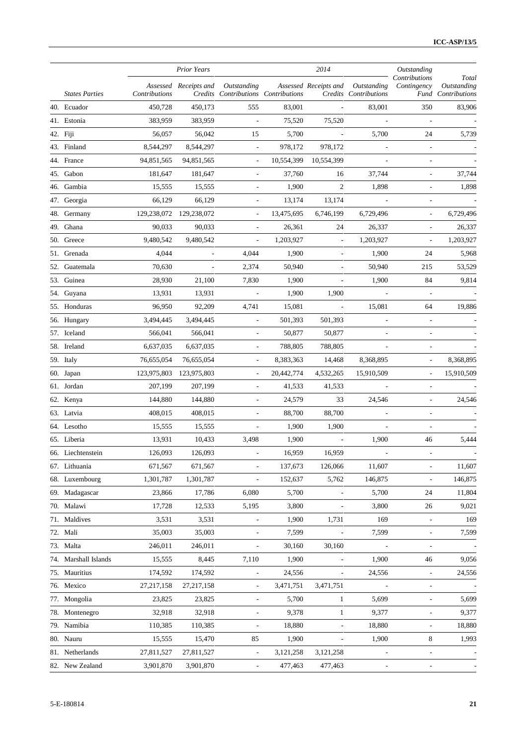|                       |               | <b>Prior Years</b>       |                                                    |            | 2014                     |                                      | Outstanding                  |                                                   |
|-----------------------|---------------|--------------------------|----------------------------------------------------|------------|--------------------------|--------------------------------------|------------------------------|---------------------------------------------------|
| <b>States Parties</b> | Contributions | Assessed Receipts and    | Outstanding<br>Credits Contributions Contributions |            | Assessed Receipts and    | Outstanding<br>Credits Contributions | Contributions<br>Contingency | Total<br>Outstanding<br><b>Fund</b> Contributions |
| 40. Ecuador           | 450,728       | 450,173                  | 555                                                | 83,001     | $\overline{\phantom{a}}$ | 83,001                               | 350                          | 83,906                                            |
| 41. Estonia           | 383,959       | 383,959                  | $\overline{\phantom{a}}$                           | 75,520     | 75,520                   | $\overline{\phantom{a}}$             | L,                           |                                                   |
| 42. Fiji              | 56,057        | 56,042                   | 15                                                 | 5,700      | $\overline{\phantom{a}}$ | 5,700                                | 24                           | 5,739                                             |
| 43. Finland           | 8,544,297     | 8,544,297                | $\overline{\phantom{a}}$                           | 978,172    | 978,172                  | $\overline{\phantom{a}}$             | $\overline{\phantom{a}}$     |                                                   |
| 44. France            | 94,851,565    | 94,851,565               | $\overline{\phantom{a}}$                           | 10,554,399 | 10,554,399               |                                      |                              |                                                   |
| 45. Gabon             | 181,647       | 181,647                  | $\overline{\phantom{a}}$                           | 37,760     | 16                       | 37,744                               | L,                           | 37,744                                            |
| 46. Gambia            | 15,555        | 15,555                   | $\overline{\phantom{a}}$                           | 1,900      | 2                        | 1,898                                | $\overline{\phantom{a}}$     | 1,898                                             |
| 47. Georgia           | 66,129        | 66,129                   | $\overline{\phantom{a}}$                           | 13,174     | 13,174                   | $\overline{\phantom{a}}$             | L,                           |                                                   |
| 48. Germany           | 129,238,072   | 129,238,072              | $\overline{\phantom{a}}$                           | 13,475,695 | 6,746,199                | 6,729,496                            | $\overline{\phantom{a}}$     | 6,729,496                                         |
| 49. Ghana             | 90,033        | 90,033                   | $\overline{\phantom{a}}$                           | 26,361     | 24                       | 26,337                               | L,                           | 26,337                                            |
| 50. Greece            | 9,480,542     | 9,480,542                | $\overline{\phantom{a}}$                           | 1,203,927  | $\overline{\phantom{a}}$ | 1,203,927                            |                              | 1,203,927                                         |
| 51. Grenada           | 4,044         | L,                       | 4,044                                              | 1,900      | $\overline{a}$           | 1,900                                | 24                           | 5,968                                             |
| 52. Guatemala         | 70,630        | $\overline{\phantom{a}}$ | 2,374                                              | 50,940     |                          | 50,940                               | 215                          | 53,529                                            |
| 53. Guinea            | 28,930        | 21,100                   | 7,830                                              | 1,900      | ÷,                       | 1,900                                | 84                           | 9,814                                             |
| 54. Guyana            | 13,931        | 13,931                   |                                                    | 1,900      | 1,900                    |                                      |                              |                                                   |
| 55. Honduras          | 96,950        | 92,209                   | 4,741                                              | 15,081     | $\overline{a}$           | 15,081                               | 64                           | 19,886                                            |
| 56. Hungary           | 3,494,445     | 3,494,445                | $\overline{\phantom{a}}$                           | 501,393    | 501,393                  |                                      |                              |                                                   |
| 57. Iceland           | 566,041       | 566,041                  | $\overline{\phantom{a}}$                           | 50,877     | 50,877                   |                                      | L,                           |                                                   |
| 58. Ireland           | 6,637,035     | 6,637,035                | $\overline{\phantom{a}}$                           | 788,805    | 788,805                  |                                      |                              |                                                   |
| 59. Italy             | 76,655,054    | 76,655,054               | $\overline{\phantom{a}}$                           | 8,383,363  | 14,468                   | 8,368,895                            |                              | 8,368,895                                         |
| 60. Japan             | 123,975,803   | 123,975,803              | $\overline{\phantom{a}}$                           | 20,442,774 | 4,532,265                | 15,910,509                           | $\overline{\phantom{a}}$     | 15,910,509                                        |
| 61. Jordan            | 207,199       | 207,199                  | $\overline{\phantom{a}}$                           | 41,533     | 41,533                   |                                      | L,                           |                                                   |
| 62. Kenya             | 144,880       | 144,880                  | $\overline{\phantom{a}}$                           | 24,579     | 33                       | 24,546                               |                              | 24,546                                            |
| 63. Latvia            | 408,015       | 408,015                  | $\overline{\phantom{a}}$                           | 88,700     | 88,700                   | $\overline{\phantom{a}}$             | $\overline{a}$               |                                                   |
| 64. Lesotho           | 15,555        | 15,555                   |                                                    | 1,900      | 1,900                    |                                      |                              |                                                   |
| 65. Liberia           | 13,931        | 10,433                   | 3,498                                              | 1,900      | $\overline{a}$           | 1,900                                | 46                           | 5,444                                             |
| 66. Liechtenstein     | 126,093       | 126,093                  | $\overline{\phantom{a}}$                           | 16,959     | 16,959                   | $\overline{a}$                       | $\overline{a}$               |                                                   |
| 67. Lithuania         | 671,567       | 671,567                  | $\overline{\phantom{a}}$                           | 137,673    | 126,066                  | 11,607                               | $\qquad \qquad \blacksquare$ | 11,607                                            |
| 68. Luxembourg        | 1,301,787     | 1,301,787                |                                                    | 152,637    | 5,762                    | 146,875                              |                              | 146,875                                           |
| 69. Madagascar        | 23,866        | 17,786                   | 6,080                                              | 5,700      | $\overline{a}$           | 5,700                                | 24                           | 11,804                                            |
| 70. Malawi            | 17,728        | 12,533                   | 5,195                                              | 3,800      |                          | 3,800                                | 26                           | 9,021                                             |
| 71. Maldives          | 3,531         | 3,531                    | $\overline{\phantom{a}}$                           | 1,900      | 1,731                    | 169                                  | $\overline{\phantom{a}}$     | 169                                               |
| 72. Mali              | 35,003        | 35,003                   |                                                    | 7,599      | $\overline{\phantom{a}}$ | 7,599                                | $\overline{a}$               | 7,599                                             |
| 73. Malta             | 246,011       | 246,011                  | $\overline{\phantom{a}}$                           | 30,160     | 30,160                   | $\Box$                               | ÷,                           |                                                   |
| 74. Marshall Islands  | 15,555        | 8,445                    | 7,110                                              | 1,900      | $\frac{1}{2}$            | 1,900                                | 46                           | 9,056                                             |
| 75. Mauritius         | 174,592       | 174,592                  | $\Box$                                             | 24,556     | $\overline{\phantom{a}}$ | 24,556                               | $\overline{\phantom{a}}$     | 24,556                                            |
| 76. Mexico            | 27,217,158    | 27, 217, 158             | $\Box$                                             | 3,471,751  | 3,471,751                |                                      | $\overline{a}$               |                                                   |
| 77. Mongolia          | 23,825        | 23,825                   | $\overline{\phantom{a}}$                           | 5,700      | $\mathbf{1}$             | 5,699                                | $\blacksquare$               | 5,699                                             |
| 78. Montenegro        | 32,918        | 32,918                   | $\overline{\phantom{a}}$                           | 9,378      | $\mathbf{1}$             | 9,377                                | $\overline{\phantom{a}}$     | 9,377                                             |
| 79. Namibia           | 110,385       | 110,385                  | $\overline{\phantom{a}}$                           | 18,880     | $\overline{\phantom{a}}$ | 18,880                               | $\overline{a}$               | 18,880                                            |
| 80. Nauru             | 15,555        | 15,470                   | 85                                                 | 1,900      | $\overline{\phantom{a}}$ | 1,900                                | 8                            | 1,993                                             |
| 81. Netherlands       | 27,811,527    | 27,811,527               | $\Box$                                             | 3,121,258  | 3,121,258                | $\overline{a}$                       | $\overline{a}$               |                                                   |
| 82. New Zealand       | 3,901,870     | 3,901,870                | $\overline{\phantom{a}}$                           | 477,463    | 477,463                  | $\overline{a}$                       | ÷,                           |                                                   |
|                       |               |                          |                                                    |            |                          |                                      |                              |                                                   |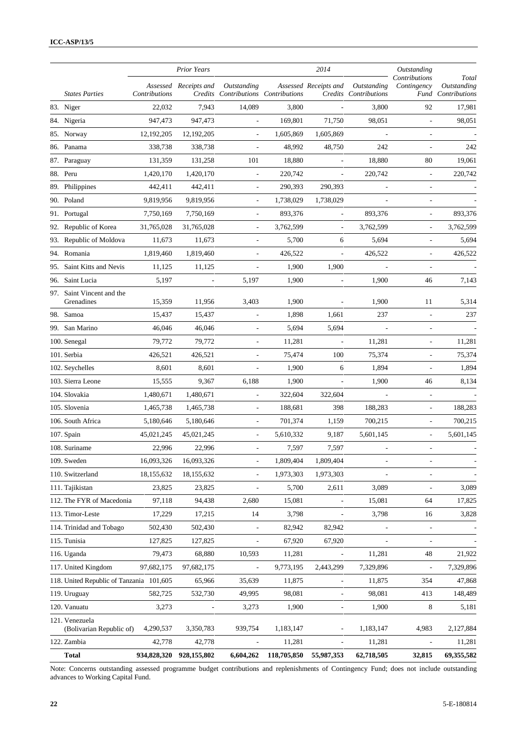|                                            |                      | <b>Prior Years</b>    |                                                    |             | 2014                     |                                      | Outstanding                  |                                            |
|--------------------------------------------|----------------------|-----------------------|----------------------------------------------------|-------------|--------------------------|--------------------------------------|------------------------------|--------------------------------------------|
| <b>States Parties</b>                      | <b>Contributions</b> | Assessed Receipts and | Outstanding<br>Credits Contributions Contributions |             | Assessed Receipts and    | Outstanding<br>Credits Contributions | Contributions<br>Contingency | Total<br>Outstanding<br>Fund Contributions |
| 83. Niger                                  | 22,032               | 7,943                 | 14,089                                             | 3,800       |                          | 3,800                                | 92                           | 17,981                                     |
| 84. Nigeria                                | 947,473              | 947,473               | L,                                                 | 169,801     | 71,750                   | 98,051                               |                              | 98,051                                     |
| 85. Norway                                 | 12, 192, 205         | 12, 192, 205          | $\overline{a}$                                     | 1,605,869   | 1,605,869                |                                      | L,                           |                                            |
| 86. Panama                                 | 338,738              | 338,738               | L,                                                 | 48,992      | 48,750                   | 242                                  | ÷,                           | 242                                        |
| 87. Paraguay                               | 131,359              | 131,258               | 101                                                | 18,880      | ÷,                       | 18,880                               | 80                           | 19,061                                     |
| 88. Peru                                   | 1,420,170            | 1,420,170             | $\overline{a}$                                     | 220,742     | L,                       | 220,742                              | ÷,                           | 220,742                                    |
| 89. Philippines                            | 442,411              | 442,411               | L,                                                 | 290,393     | 290,393                  |                                      | L,                           |                                            |
| 90. Poland                                 | 9,819,956            | 9,819,956             | $\overline{a}$                                     | 1,738,029   | 1,738,029                |                                      | $\overline{a}$               |                                            |
| 91. Portugal                               | 7,750,169            | 7,750,169             | L,                                                 | 893,376     | $\overline{a}$           | 893,376                              | ÷,                           | 893,376                                    |
| 92. Republic of Korea                      | 31,765,028           | 31,765,028            | $\overline{a}$                                     | 3,762,599   | $\overline{a}$           | 3,762,599                            | $\overline{\phantom{a}}$     | 3,762,599                                  |
| 93. Republic of Moldova                    | 11,673               | 11,673                |                                                    | 5,700       | 6                        | 5,694                                | $\overline{\phantom{a}}$     | 5,694                                      |
| 94. Romania                                | 1,819,460            | 1,819,460             | $\overline{a}$                                     | 426,522     | $\overline{a}$           | 426,522                              | $\overline{\phantom{a}}$     | 426,522                                    |
| Saint Kitts and Nevis<br>95.               | 11,125               | 11,125                |                                                    | 1,900       | 1,900                    |                                      | L,                           |                                            |
| Saint Lucia<br>96.                         | 5,197                | $\Box$                | 5,197                                              | 1,900       | $\overline{a}$           | 1,900                                | 46                           | 7,143                                      |
| Saint Vincent and the<br>97.<br>Grenadines | 15,359               | 11,956                | 3,403                                              | 1,900       |                          | 1,900                                | 11                           | 5,314                                      |
| 98. Samoa                                  | 15,437               | 15,437                |                                                    | 1,898       | 1,661                    | 237                                  | ÷,                           | 237                                        |
| 99. San Marino                             | 46,046               | 46,046                | L,                                                 | 5,694       | 5,694                    | $\overline{\phantom{a}}$             | $\blacksquare$               |                                            |
| 100. Senegal                               | 79,772               | 79,772                | $\overline{a}$                                     | 11,281      | $\overline{\phantom{a}}$ | 11,281                               | ÷,                           | 11,281                                     |
| 101. Serbia                                | 426,521              | 426,521               | L,                                                 | 75,474      | 100                      | 75,374                               | L,                           | 75,374                                     |
| 102. Seychelles                            | 8,601                | 8,601                 | L,                                                 | 1,900       | 6                        | 1,894                                | L,                           | 1,894                                      |
| 103. Sierra Leone                          | 15,555               | 9,367                 | 6,188                                              | 1,900       | $\overline{\phantom{a}}$ | 1,900                                | 46                           | 8,134                                      |
| 104. Slovakia                              | 1,480,671            | 1,480,671             | L,                                                 | 322,604     | 322,604                  |                                      | L,                           |                                            |
| 105. Slovenia                              | 1,465,738            | 1,465,738             | L,                                                 | 188,681     | 398                      | 188,283                              | $\overline{\phantom{a}}$     | 188,283                                    |
| 106. South Africa                          | 5,180,646            | 5,180,646             | L,                                                 | 701,374     | 1,159                    | 700,215                              | $\overline{\phantom{a}}$     | 700,215                                    |
| 107. Spain                                 | 45,021,245           | 45,021,245            | $\overline{a}$                                     | 5,610,332   | 9,187                    | 5,601,145                            | $\overline{\phantom{a}}$     | 5,601,145                                  |
| 108. Suriname                              | 22,996               | 22,996                | L,                                                 | 7,597       | 7,597                    |                                      | ÷,                           |                                            |
| 109. Sweden                                | 16,093,326           | 16,093,326            | $\overline{\phantom{a}}$                           | 1,809,404   | 1,809,404                | $\overline{\phantom{m}}$             | $\qquad \qquad \blacksquare$ |                                            |
| 110. Switzerland                           | 18, 155, 632         | 18,155,632            | $\overline{a}$                                     | 1,973,303   | 1,973,303                |                                      | $\blacksquare$               |                                            |
| 111. Tajikistan                            | 23,825               | 23,825                | $\overline{a}$                                     | 5,700       | 2,611                    | 3,089                                | $\overline{a}$               | 3,089                                      |
| 112. The FYR of Macedonia                  | 97,118               | 94,438                | 2,680                                              | 15,081      |                          | 15,081                               | 64                           | 17,825                                     |
| 113. Timor-Leste                           | 17,229               | 17,215                | 14                                                 | 3,798       | $\overline{a}$           | 3,798                                | 16                           | 3,828                                      |
| 114. Trinidad and Tobago                   | 502,430              | 502,430               | $\overline{a}$                                     | 82,942      | 82,942                   |                                      | $\overline{\phantom{a}}$     |                                            |
| 115. Tunisia                               | 127,825              | 127,825               | $\overline{\phantom{m}}$                           | 67,920      | 67,920                   |                                      | $\overline{a}$               |                                            |
| 116. Uganda                                | 79,473               | 68,880                | 10,593                                             | 11,281      |                          | 11,281                               | 48                           | 21,922                                     |
| 117. United Kingdom                        | 97,682,175           | 97,682,175            | $\overline{a}$                                     | 9,773,195   | 2,443,299                | 7,329,896                            | $\overline{a}$               | 7,329,896                                  |
| 118. United Republic of Tanzania 101,605   |                      | 65,966                | 35,639                                             | 11,875      | $\overline{\phantom{a}}$ | 11,875                               | 354                          | 47,868                                     |
| 119. Uruguay                               | 582,725              | 532,730               | 49,995                                             | 98,081      | $\overline{\phantom{0}}$ | 98,081                               | 413                          | 148,489                                    |
| 120. Vanuatu                               | 3,273                | $\blacksquare$        | 3,273                                              | 1,900       | $\overline{\phantom{a}}$ | 1,900                                | 8                            | 5,181                                      |
| 121. Venezuela<br>(Bolivarian Republic of) | 4,290,537            | 3,350,783             | 939,754                                            | 1,183,147   | $\overline{a}$           | 1,183,147                            | 4,983                        | 2,127,884                                  |
| 122. Zambia                                | 42,778               | 42,778                | $\overline{\phantom{a}}$                           | 11,281      | $\overline{\phantom{a}}$ | 11,281                               | $\qquad \qquad \blacksquare$ | 11,281                                     |
| <b>Total</b>                               | 934,828,320          | 928,155,802           | 6,604,262                                          | 118,705,850 | 55,987,353               | 62,718,505                           | 32,815                       | 69,355,582                                 |

Note: Concerns outstanding assessed programme budget contributions and replenishments of Contingency Fund; does not include outstanding advances to Working Capital Fund.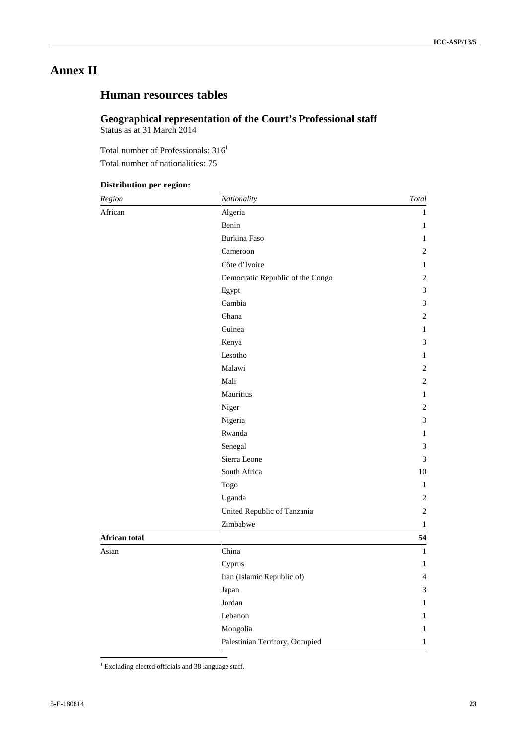## **Annex II**

## **Human resources tables**

#### **Geographical representation of the Court's Professional staff** Status as at 31 March 2014

Total number of Professionals:  $316<sup>1</sup>$ 

Total number of nationalities: 75

## **Distribution per region:**

| Region        | Nationality                      | Total          |
|---------------|----------------------------------|----------------|
| African       | Algeria                          | $\mathbf{1}$   |
|               | Benin                            | 1              |
|               | Burkina Faso                     | $\mathbf{1}$   |
|               | Cameroon                         | 2              |
|               | Côte d'Ivoire                    | $\mathbf{1}$   |
|               | Democratic Republic of the Congo | $\sqrt{2}$     |
|               | Egypt                            | 3              |
|               | Gambia                           | 3              |
|               | Ghana                            | $\overline{c}$ |
|               | Guinea                           | $\mathbf{1}$   |
|               | Kenya                            | $\mathfrak{Z}$ |
|               | Lesotho                          | $\mathbf{1}$   |
|               | Malawi                           | $\sqrt{2}$     |
|               | Mali                             | $\overline{2}$ |
|               | Mauritius                        | 1              |
|               | Niger                            | $\overline{c}$ |
|               | Nigeria                          | 3              |
|               | Rwanda                           | $\mathbf{1}$   |
|               | Senegal                          | 3              |
|               | Sierra Leone                     | $\mathfrak{Z}$ |
|               | South Africa                     | 10             |
|               | Togo                             | 1              |
|               | Uganda                           | $\sqrt{2}$     |
|               | United Republic of Tanzania      | $\overline{c}$ |
|               | Zimbabwe                         | $\,1$          |
| African total |                                  | 54             |
| Asian         | China                            | $\mathbf{1}$   |
|               | Cyprus                           | 1              |
|               | Iran (Islamic Republic of)       | $\overline{4}$ |
|               | Japan                            | 3              |
|               | Jordan                           | 1              |
|               | Lebanon                          | 1              |
|               | Mongolia                         | 1              |
|               | Palestinian Territory, Occupied  | $\mathbf{1}$   |

<sup>1</sup> Excluding elected officials and 38 language staff.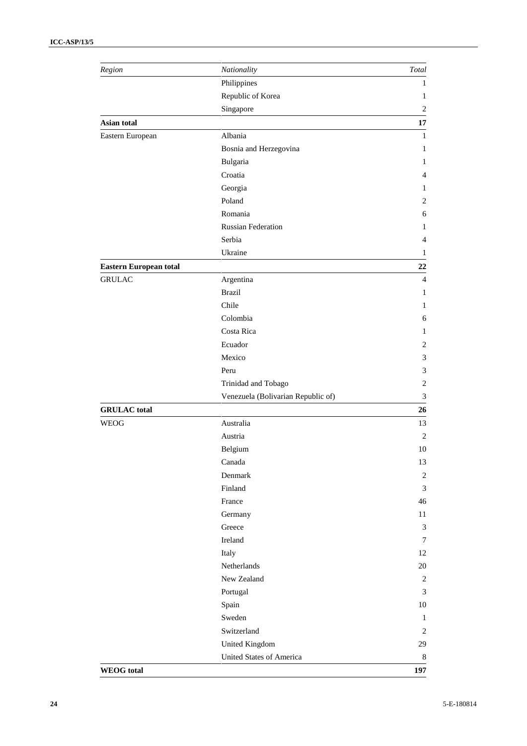| Region                        | Nationality                        | Total                       |
|-------------------------------|------------------------------------|-----------------------------|
|                               | Philippines                        | 1                           |
|                               | Republic of Korea                  | 1                           |
|                               | Singapore                          | $\overline{c}$              |
| Asian total                   |                                    | 17                          |
| Eastern European              | Albania                            | $\mathbf{1}$                |
|                               | Bosnia and Herzegovina             | 1                           |
|                               | Bulgaria                           | 1                           |
|                               | Croatia                            | $\overline{4}$              |
|                               | Georgia                            | $\mathbf{1}$                |
|                               | Poland                             | $\overline{c}$              |
|                               | Romania                            | 6                           |
|                               | <b>Russian Federation</b>          | 1                           |
|                               | Serbia                             | $\overline{4}$              |
|                               | Ukraine                            | $\mathbf{1}$                |
| <b>Eastern European total</b> |                                    | 22                          |
| <b>GRULAC</b>                 | Argentina                          | $\overline{4}$              |
|                               | <b>Brazil</b>                      | 1                           |
|                               | Chile                              | $\mathbf{1}$                |
|                               | Colombia                           | 6                           |
|                               | Costa Rica                         | $\mathbf{1}$                |
|                               | Ecuador                            | $\overline{2}$              |
|                               | Mexico                             | $\mathfrak 3$               |
|                               | Peru                               | 3                           |
|                               | Trinidad and Tobago                | $\sqrt{2}$                  |
|                               | Venezuela (Bolivarian Republic of) | $\ensuremath{\mathfrak{Z}}$ |
| <b>GRULAC</b> total           |                                    | 26                          |
| <b>WEOG</b>                   | Australia                          | 13                          |
|                               | Austria                            | $\overline{2}$              |
|                               | Belgium                            | 10                          |
|                               | Canada                             | 13                          |
|                               | Denmark                            | $\sqrt{2}$                  |
|                               | Finland                            | $\mathfrak{Z}$              |
|                               | France                             | 46                          |
|                               |                                    | $11\,$                      |
|                               | Germany<br>Greece                  | $\mathfrak{Z}$              |
|                               | Ireland                            | 7                           |
|                               |                                    |                             |
|                               | Italy                              | 12                          |
|                               | Netherlands                        | 20                          |
|                               | New Zealand                        | $\sqrt{2}$                  |
|                               | Portugal                           | $\mathfrak{Z}$              |
|                               | Spain                              | $10\,$                      |
|                               | Sweden                             | $\mathbf{1}$                |
|                               | Switzerland                        | $\mathbf{2}$                |
|                               | United Kingdom                     | 29                          |
|                               | <b>United States of America</b>    | 8                           |
| <b>WEOG</b> total             |                                    | 197                         |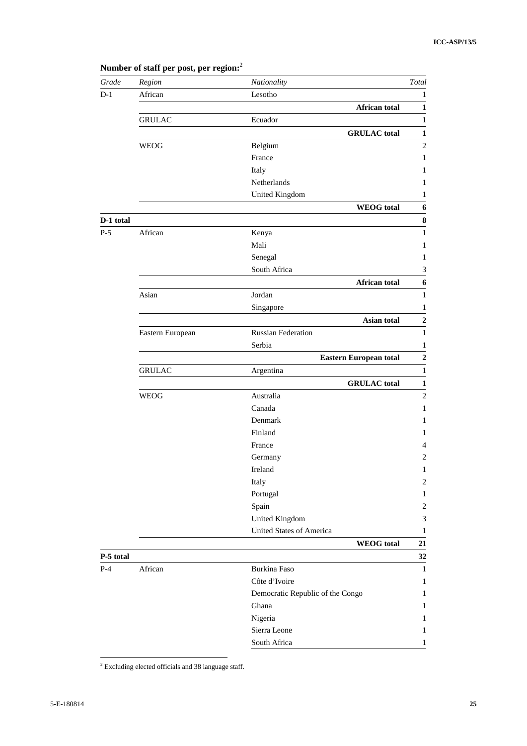| Grade     | Region           | Nationality                      | Total                       |
|-----------|------------------|----------------------------------|-----------------------------|
| $D-1$     | African          | Lesotho                          | 1                           |
|           |                  | <b>African total</b>             | $\mathbf{1}$                |
|           | <b>GRULAC</b>    | Ecuador                          | $\mathbf{1}$                |
|           |                  | <b>GRULAC</b> total              | $\mathbf{1}$                |
|           | <b>WEOG</b>      | Belgium                          | $\overline{c}$              |
|           |                  | France                           | $\mathbf{1}$                |
|           |                  | Italy                            | 1                           |
|           |                  | Netherlands                      | $\mathbf{1}$                |
|           |                  | United Kingdom                   | $\mathbf{1}$                |
|           |                  | <b>WEOG</b> total                | 6                           |
| D-1 total |                  |                                  | ${\bf 8}$                   |
| $P-5$     | African          | Kenya                            | $\mathbf{1}$                |
|           |                  | Mali                             | $\mathbf{1}$                |
|           |                  | Senegal                          | $\mathbf{1}$                |
|           |                  | South Africa                     | $\ensuremath{\mathfrak{Z}}$ |
|           |                  | <b>African total</b>             | $\boldsymbol{6}$            |
|           | Asian            | Jordan                           | $\mathbf{1}$                |
|           |                  | Singapore                        | $\mathbf{1}$                |
|           |                  | Asian total                      | $\mathbf 2$                 |
|           | Eastern European | <b>Russian Federation</b>        | $\mathbf{1}$                |
|           |                  | Serbia                           | 1                           |
|           |                  | <b>Eastern European total</b>    | $\mathbf 2$                 |
|           | <b>GRULAC</b>    | Argentina                        | $\mathbf{1}$                |
|           |                  | <b>GRULAC</b> total              | $\mathbf{1}$                |
|           | <b>WEOG</b>      | Australia                        | $\mathbf{2}$                |
|           |                  | Canada                           | $\mathbf{1}$                |
|           |                  | Denmark                          | 1                           |
|           |                  | Finland                          | 1                           |
|           |                  | France                           | $\overline{4}$              |
|           |                  | Germany                          | 2                           |
|           |                  | Ireland                          | $\mathbf{1}$                |
|           |                  | Italy                            | $\overline{c}$              |
|           |                  | Portugal                         | 1                           |
|           |                  | Spain                            | $\sqrt{2}$                  |
|           |                  | United Kingdom                   | $\ensuremath{\mathfrak{Z}}$ |
|           |                  | <b>United States of America</b>  | $\mathbf{1}$                |
|           |                  | <b>WEOG</b> total                | 21                          |
| P-5 total |                  |                                  | 32                          |
| $P-4$     | African          | <b>Burkina Faso</b>              | $\mathbf{1}$                |
|           |                  | Côte d'Ivoire                    | $\mathbf{1}$                |
|           |                  | Democratic Republic of the Congo | $\mathbf{1}$                |
|           |                  | Ghana                            | 1                           |
|           |                  | Nigeria                          | 1                           |
|           |                  | Sierra Leone                     | $\mathbf{1}$                |
|           |                  | South Africa                     | $\mathbf{1}$                |

**Number of staff per post, per region:** 2

<sup>2</sup> Excluding elected officials and 38 language staff.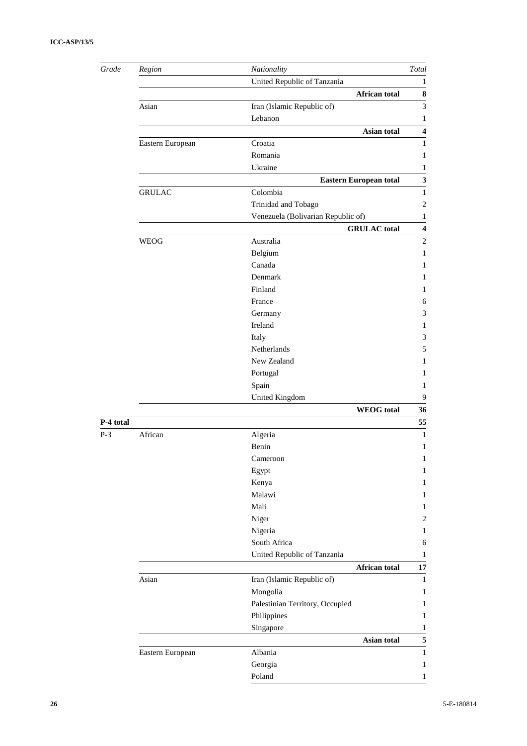| Grade     | Region                                                        | Nationality                        | Total             |  |  |  |  |  |
|-----------|---------------------------------------------------------------|------------------------------------|-------------------|--|--|--|--|--|
|           | United Republic of Tanzania                                   |                                    |                   |  |  |  |  |  |
|           |                                                               | African total                      | 8                 |  |  |  |  |  |
|           | Asian<br>Iran (Islamic Republic of)<br>Lebanon<br>Asian total |                                    |                   |  |  |  |  |  |
|           |                                                               |                                    |                   |  |  |  |  |  |
|           |                                                               |                                    |                   |  |  |  |  |  |
|           | Eastern European                                              | Croatia                            | 1                 |  |  |  |  |  |
|           |                                                               | Romania                            | 1                 |  |  |  |  |  |
|           |                                                               | Ukraine                            | 1                 |  |  |  |  |  |
|           | Eastern European total<br><b>GRULAC</b><br>Colombia           |                                    |                   |  |  |  |  |  |
|           |                                                               |                                    |                   |  |  |  |  |  |
|           |                                                               | Trinidad and Tobago                | $\overline{2}$    |  |  |  |  |  |
|           |                                                               | Venezuela (Bolivarian Republic of) | 1                 |  |  |  |  |  |
|           |                                                               | <b>GRULAC</b> total                | $\boldsymbol{4}$  |  |  |  |  |  |
|           | WEOG                                                          | Australia                          | $\mathbf{2}$      |  |  |  |  |  |
|           |                                                               | Belgium                            | 1                 |  |  |  |  |  |
|           |                                                               | Canada                             | 1                 |  |  |  |  |  |
|           |                                                               | Denmark                            | 1                 |  |  |  |  |  |
|           |                                                               | Finland                            | 1                 |  |  |  |  |  |
|           |                                                               | France                             | 6                 |  |  |  |  |  |
|           |                                                               | Germany                            | 3                 |  |  |  |  |  |
|           |                                                               | Ireland                            | 1                 |  |  |  |  |  |
|           |                                                               | Italy                              | 3                 |  |  |  |  |  |
|           |                                                               | Netherlands                        | 5                 |  |  |  |  |  |
|           |                                                               | New Zealand                        | 1                 |  |  |  |  |  |
|           |                                                               | Portugal                           | 1                 |  |  |  |  |  |
|           |                                                               | Spain                              | 1                 |  |  |  |  |  |
|           |                                                               | United Kingdom                     | 9                 |  |  |  |  |  |
|           |                                                               | <b>WEOG</b> total                  | 36                |  |  |  |  |  |
| P-4 total |                                                               |                                    | 55                |  |  |  |  |  |
| $P-3$     | African                                                       | Algeria                            | $\mathbf{1}$      |  |  |  |  |  |
|           |                                                               | Benin                              | 1                 |  |  |  |  |  |
|           |                                                               | Cameroon                           | 1                 |  |  |  |  |  |
|           |                                                               | Egypt                              | 1                 |  |  |  |  |  |
|           |                                                               | Kenya                              | $\mathbf{1}$      |  |  |  |  |  |
|           |                                                               | Malawi                             | 1                 |  |  |  |  |  |
|           |                                                               | Mali                               | $\mathbf{1}$      |  |  |  |  |  |
|           |                                                               | Niger                              | $\sqrt{2}$        |  |  |  |  |  |
|           |                                                               | Nigeria                            | $\mathbf{1}$      |  |  |  |  |  |
|           |                                                               | South Africa                       | 6                 |  |  |  |  |  |
|           |                                                               | United Republic of Tanzania        | 1                 |  |  |  |  |  |
|           |                                                               | African total                      | 17                |  |  |  |  |  |
|           | Asian                                                         | Iran (Islamic Republic of)         | $\mathbf{1}$      |  |  |  |  |  |
|           |                                                               | Mongolia                           | 1                 |  |  |  |  |  |
|           |                                                               | Palestinian Territory, Occupied    | 1                 |  |  |  |  |  |
|           |                                                               | Philippines                        | $\mathbf{1}$      |  |  |  |  |  |
|           | Singapore                                                     |                                    |                   |  |  |  |  |  |
|           | Asian total                                                   |                                    |                   |  |  |  |  |  |
|           | Eastern European                                              | Albania                            | 5<br>$\mathbf{1}$ |  |  |  |  |  |
|           |                                                               | Georgia                            | $\mathbf{1}$      |  |  |  |  |  |
|           |                                                               | Poland                             | $\mathbf{1}$      |  |  |  |  |  |
|           |                                                               |                                    |                   |  |  |  |  |  |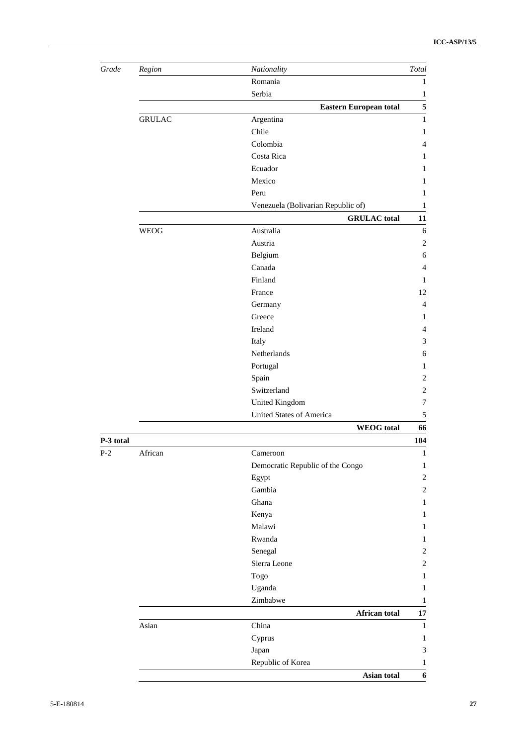| Grade     | $Region$                           | Nationality                      | Total                       |  |  |  |  |  |
|-----------|------------------------------------|----------------------------------|-----------------------------|--|--|--|--|--|
|           |                                    | Romania                          | 1                           |  |  |  |  |  |
|           |                                    | Serbia                           | 1                           |  |  |  |  |  |
|           |                                    | <b>Eastern European total</b>    | $\sqrt{5}$                  |  |  |  |  |  |
|           | <b>GRULAC</b>                      | Argentina                        | $\mathbf{1}$                |  |  |  |  |  |
|           |                                    | Chile                            | 1                           |  |  |  |  |  |
|           |                                    | Colombia                         | $\overline{4}$              |  |  |  |  |  |
|           |                                    | Costa Rica                       | 1                           |  |  |  |  |  |
|           |                                    | Ecuador                          | 1                           |  |  |  |  |  |
|           |                                    | Mexico                           | 1                           |  |  |  |  |  |
|           |                                    | Peru                             | 1                           |  |  |  |  |  |
|           | Venezuela (Bolivarian Republic of) |                                  |                             |  |  |  |  |  |
|           |                                    | <b>GRULAC</b> total              | 11                          |  |  |  |  |  |
|           | <b>WEOG</b>                        | Australia                        | 6                           |  |  |  |  |  |
|           |                                    | Austria                          | $\mathbf{2}$                |  |  |  |  |  |
|           |                                    | Belgium                          | 6                           |  |  |  |  |  |
|           |                                    | Canada                           | $\overline{4}$              |  |  |  |  |  |
|           |                                    | Finland                          | 1                           |  |  |  |  |  |
|           |                                    | France                           | 12                          |  |  |  |  |  |
|           |                                    | Germany                          | $\overline{4}$              |  |  |  |  |  |
|           |                                    | Greece                           | 1                           |  |  |  |  |  |
|           |                                    | Ireland                          | $\overline{4}$              |  |  |  |  |  |
|           |                                    | Italy                            | 3                           |  |  |  |  |  |
|           |                                    | Netherlands                      | 6                           |  |  |  |  |  |
|           |                                    | Portugal                         | 1                           |  |  |  |  |  |
|           |                                    | Spain                            | $\mathbf{2}$                |  |  |  |  |  |
|           |                                    | Switzerland                      | $\mathbf{2}$                |  |  |  |  |  |
|           |                                    | United Kingdom                   | $\overline{7}$              |  |  |  |  |  |
|           |                                    | United States of America         | $\sqrt{5}$                  |  |  |  |  |  |
|           |                                    | <b>WEOG</b> total                | 66                          |  |  |  |  |  |
| P-3 total |                                    |                                  | 104                         |  |  |  |  |  |
| $P-2$     | African                            | Cameroon                         | $\mathbf{1}$                |  |  |  |  |  |
|           |                                    | Democratic Republic of the Congo | $\mathbf{1}$                |  |  |  |  |  |
|           |                                    | Egypt                            | $\sqrt{2}$                  |  |  |  |  |  |
|           |                                    | Gambia                           | $\boldsymbol{2}$            |  |  |  |  |  |
|           |                                    | Ghana                            | $\mathbf{1}$                |  |  |  |  |  |
|           |                                    | Kenya                            | $\mathbf{1}$                |  |  |  |  |  |
|           |                                    | Malawi                           | $\mathbf{1}$                |  |  |  |  |  |
|           |                                    | Rwanda                           | 1                           |  |  |  |  |  |
|           |                                    | Senegal                          | $\overline{2}$              |  |  |  |  |  |
|           |                                    | Sierra Leone                     | $\boldsymbol{2}$            |  |  |  |  |  |
|           |                                    | Togo                             | $\mathbf{1}$                |  |  |  |  |  |
|           |                                    | Uganda                           | $\mathbf{1}$                |  |  |  |  |  |
|           |                                    | Zimbabwe                         | $\mathbf{1}$                |  |  |  |  |  |
|           |                                    | African total                    | $17\,$                      |  |  |  |  |  |
|           | Asian                              | China                            | $\mathbf 1$                 |  |  |  |  |  |
|           |                                    | Cyprus                           | $\mathbf{1}$                |  |  |  |  |  |
|           |                                    | Japan                            | $\ensuremath{\mathfrak{Z}}$ |  |  |  |  |  |
|           |                                    | Republic of Korea                | $\mathbf{1}$                |  |  |  |  |  |
|           |                                    | Asian total                      | 6                           |  |  |  |  |  |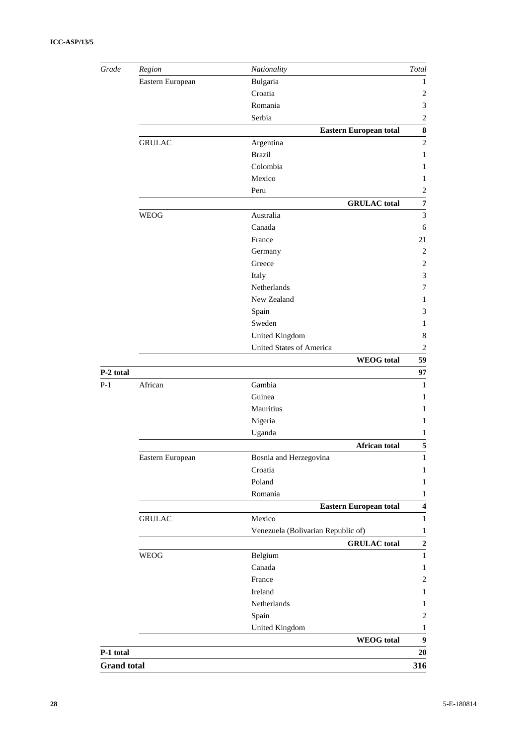| Grade     | Region           | Nationality                        | Total                   |  |  |
|-----------|------------------|------------------------------------|-------------------------|--|--|
|           | Eastern European | Bulgaria                           | 1                       |  |  |
|           |                  | Croatia                            | $\overline{2}$          |  |  |
|           |                  | Romania                            | $\mathfrak{Z}$          |  |  |
|           |                  | Serbia                             | $\sqrt{2}$              |  |  |
|           |                  | <b>Eastern European total</b>      | ${\bf 8}$               |  |  |
|           | <b>GRULAC</b>    | Argentina                          | $\mathbf{2}$            |  |  |
|           |                  | <b>Brazil</b>                      | 1                       |  |  |
|           |                  | Colombia                           | $\mathbf{1}$            |  |  |
|           |                  | Mexico                             | 1                       |  |  |
|           |                  | Peru                               | $\overline{2}$          |  |  |
|           |                  | <b>GRULAC</b> total                | $\pmb{7}$               |  |  |
|           | <b>WEOG</b>      | Australia                          | $\mathfrak{Z}$          |  |  |
|           |                  | Canada                             | 6                       |  |  |
|           |                  | France                             | 21                      |  |  |
|           |                  | Germany                            | $\mathbf{2}$            |  |  |
|           |                  | Greece                             | $\overline{2}$          |  |  |
|           |                  | Italy                              | $\mathfrak{Z}$          |  |  |
|           |                  | Netherlands                        | 7                       |  |  |
|           |                  | New Zealand                        | 1                       |  |  |
|           |                  | Spain                              | 3                       |  |  |
|           |                  | Sweden                             | 1                       |  |  |
|           | United Kingdom   |                                    |                         |  |  |
|           |                  | <b>United States of America</b>    | $\overline{2}$          |  |  |
|           |                  | <b>WEOG</b> total                  | 59                      |  |  |
| P-2 total |                  |                                    | 97                      |  |  |
| $P-1$     | African          | Gambia                             | $\mathbf{1}$            |  |  |
|           |                  | Guinea                             | 1                       |  |  |
|           |                  | Mauritius                          | 1                       |  |  |
|           |                  | Nigeria                            | 1                       |  |  |
|           |                  | Uganda                             | 1                       |  |  |
|           |                  | <b>African total</b>               | 5                       |  |  |
|           | Eastern European | Bosnia and Herzegovina             | 1                       |  |  |
|           |                  | Croatia                            | $\mathbf{1}$            |  |  |
|           |                  | Poland                             | 1                       |  |  |
|           |                  | Romania                            | 1                       |  |  |
|           |                  | <b>Eastern European total</b>      | $\overline{\mathbf{4}}$ |  |  |
|           | <b>GRULAC</b>    | Mexico                             | $\mathbf{1}$            |  |  |
|           |                  | Venezuela (Bolivarian Republic of) | 1                       |  |  |
|           |                  | <b>GRULAC</b> total                | $\overline{2}$          |  |  |
|           | <b>WEOG</b>      | Belgium                            | $\mathbf{1}$            |  |  |
|           |                  | Canada                             | $\mathbf{1}$            |  |  |
|           |                  | France                             | $\overline{2}$          |  |  |
|           |                  | Ireland                            | 1                       |  |  |
|           |                  | Netherlands                        | 1                       |  |  |
|           |                  |                                    |                         |  |  |
|           |                  |                                    |                         |  |  |
|           |                  | Spain                              | $\overline{2}$          |  |  |
|           |                  | <b>United Kingdom</b>              | 1                       |  |  |
| P-1 total |                  | <b>WEOG</b> total                  | $\boldsymbol{9}$<br>20  |  |  |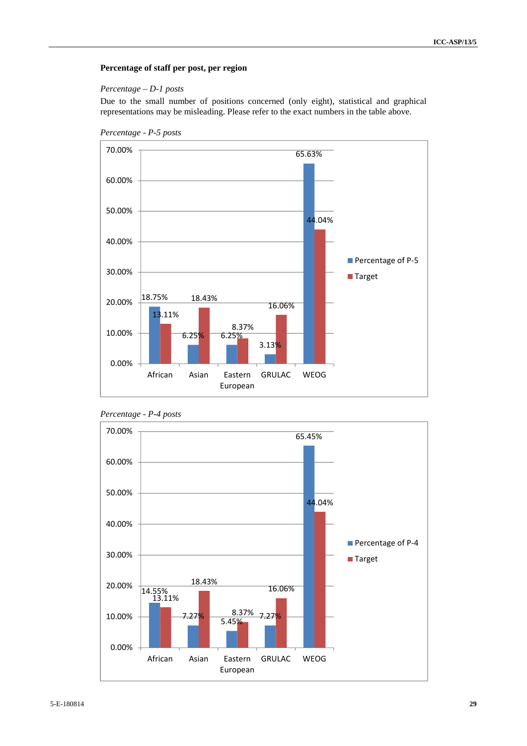#### **Percentage of staff per post, per region**

#### *Percentage – D-1 posts*

Due to the small number of positions concerned (only eight), statistical and graphical representations may be misleading. Please refer to the exact numbers in the table above.



*Percentage - P-5 posts*

*Percentage - P-4 posts*

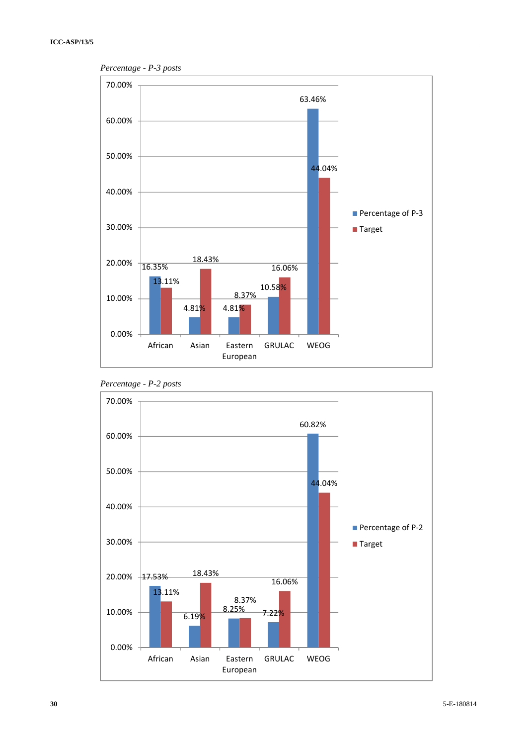

*Percentage - P-3 posts*



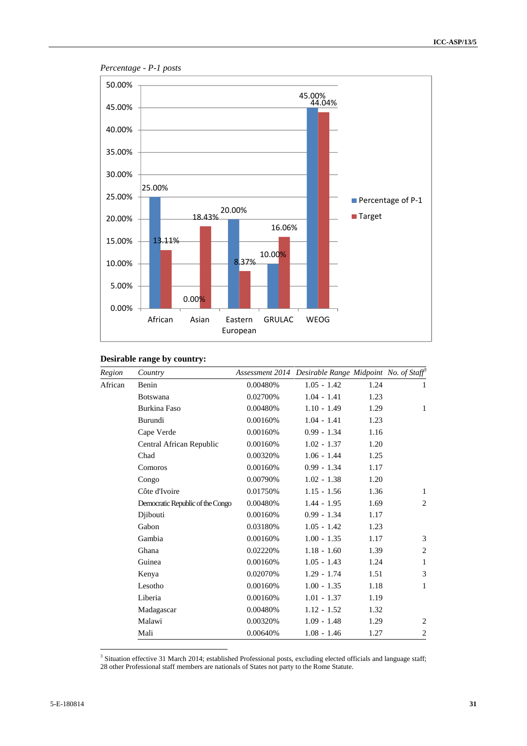

### *Percentage - P-1 posts*

## **Desirable range by country:**

| Region  | Country                          |          | Assessment 2014 Desirable Range Midpoint No. of Staff® |      |                |
|---------|----------------------------------|----------|--------------------------------------------------------|------|----------------|
| African | Benin                            | 0.00480% | $1.05 - 1.42$                                          | 1.24 | 1              |
|         | <b>Botswana</b>                  | 0.02700% | $1.04 - 1.41$                                          | 1.23 |                |
|         | <b>Burkina Faso</b>              | 0.00480% | $1.10 - 1.49$                                          | 1.29 | 1              |
|         | Burundi                          | 0.00160% | $1.04 - 1.41$                                          | 1.23 |                |
|         | Cape Verde                       | 0.00160% | $0.99 - 1.34$                                          | 1.16 |                |
|         | Central African Republic         | 0.00160% | $1.02 - 1.37$                                          | 1.20 |                |
|         | Chad                             | 0.00320% | $1.06 - 1.44$                                          | 1.25 |                |
|         | Comoros                          | 0.00160% | $0.99 - 1.34$                                          | 1.17 |                |
|         | Congo                            | 0.00790% | $1.02 - 1.38$                                          | 1.20 |                |
|         | Côte d'Ivoire                    | 0.01750% | $1.15 - 1.56$                                          | 1.36 | 1              |
|         | Democratic Republic of the Congo | 0.00480% | $1.44 - 1.95$                                          | 1.69 | $\overline{2}$ |
|         | Djibouti                         | 0.00160% | $0.99 - 1.34$                                          | 1.17 |                |
|         | Gabon                            | 0.03180% | $1.05 - 1.42$                                          | 1.23 |                |
|         | Gambia                           | 0.00160% | $1.00 - 1.35$                                          | 1.17 | 3              |
|         | Ghana                            | 0.02220% | $1.18 - 1.60$                                          | 1.39 | $\overline{2}$ |
|         | Guinea                           | 0.00160% | $1.05 - 1.43$                                          | 1.24 | 1              |
|         | Kenya                            | 0.02070% | $1.29 - 1.74$                                          | 1.51 | 3              |
|         | Lesotho                          | 0.00160% | $1.00 - 1.35$                                          | 1.18 | 1              |
|         | Liberia                          | 0.00160% | $1.01 - 1.37$                                          | 1.19 |                |
|         | Madagascar                       | 0.00480% | $1.12 - 1.52$                                          | 1.32 |                |
|         | Malawi                           | 0.00320% | $1.09 - 1.48$                                          | 1.29 | $\overline{2}$ |
|         | Mali                             | 0.00640% | $1.08 - 1.46$                                          | 1.27 | $\overline{2}$ |

<sup>3</sup> Situation effective 31 March 2014; established Professional posts, excluding elected officials and language staff; 28 other Professional staff members are nationals of States not party to the Rome Statute.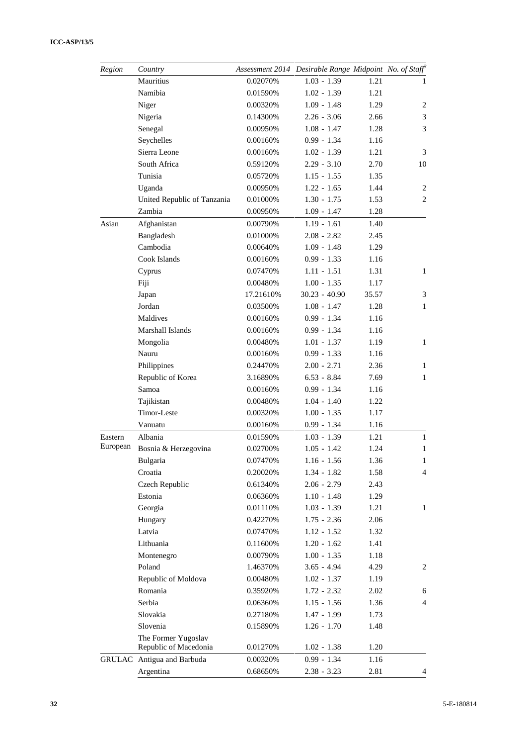| Region   | Country                                      |           | Assessment 2014 Desirable Range Midpoint No. of Staff |       |                |
|----------|----------------------------------------------|-----------|-------------------------------------------------------|-------|----------------|
|          | Mauritius                                    | 0.02070%  | $1.03 - 1.39$                                         | 1.21  | 1              |
|          | Namibia                                      | 0.01590%  | $1.02 - 1.39$                                         | 1.21  |                |
|          | Niger                                        | 0.00320%  | $1.09 - 1.48$                                         | 1.29  | $\overline{2}$ |
|          | Nigeria                                      | 0.14300%  | $2.26 - 3.06$                                         | 2.66  | 3              |
|          | Senegal                                      | 0.00950%  | $1.08 - 1.47$                                         | 1.28  | 3              |
|          | Seychelles                                   | 0.00160%  | $0.99 - 1.34$                                         | 1.16  |                |
|          | Sierra Leone                                 | 0.00160%  | $1.02 - 1.39$                                         | 1.21  | 3              |
|          | South Africa                                 | 0.59120%  | $2.29 - 3.10$                                         | 2.70  | 10             |
|          | Tunisia                                      | 0.05720%  | $1.15 - 1.55$                                         | 1.35  |                |
|          | Uganda                                       | 0.00950%  | $1.22 - 1.65$                                         | 1.44  | $\overline{2}$ |
|          | United Republic of Tanzania                  | 0.01000%  | $1.30 - 1.75$                                         | 1.53  | $\overline{2}$ |
|          | Zambia                                       | 0.00950%  | $1.09 - 1.47$                                         | 1.28  |                |
| Asian    | Afghanistan                                  | 0.00790%  | $1.19 - 1.61$                                         | 1.40  |                |
|          | Bangladesh                                   | 0.01000%  | $2.08 - 2.82$                                         | 2.45  |                |
|          | Cambodia                                     | 0.00640%  | $1.09 - 1.48$                                         | 1.29  |                |
|          | Cook Islands                                 | 0.00160%  | $0.99 - 1.33$                                         | 1.16  |                |
|          | Cyprus                                       | 0.07470%  | $1.11 - 1.51$                                         | 1.31  | $\mathbf{1}$   |
|          | Fiji                                         | 0.00480%  | $1.00 - 1.35$                                         | 1.17  |                |
|          | Japan                                        | 17.21610% | $30.23 - 40.90$                                       | 35.57 | 3              |
|          | Jordan                                       | 0.03500%  | $1.08 - 1.47$                                         | 1.28  | $\mathbf{1}$   |
|          | Maldives                                     | 0.00160%  | $0.99 - 1.34$                                         | 1.16  |                |
|          | Marshall Islands                             | 0.00160%  | $0.99 - 1.34$                                         | 1.16  |                |
|          | Mongolia                                     | 0.00480%  | $1.01 - 1.37$                                         | 1.19  | $\mathbf{1}$   |
|          | Nauru                                        | 0.00160%  | $0.99 - 1.33$                                         | 1.16  |                |
|          | Philippines                                  | 0.24470%  | $2.00 - 2.71$                                         | 2.36  | 1              |
|          | Republic of Korea                            | 3.16890%  | $6.53 - 8.84$                                         | 7.69  | 1              |
|          | Samoa                                        | 0.00160%  | $0.99 - 1.34$                                         | 1.16  |                |
|          | Tajikistan                                   | 0.00480%  | $1.04 - 1.40$                                         | 1.22  |                |
|          | Timor-Leste                                  | 0.00320%  | $1.00 - 1.35$                                         | 1.17  |                |
|          | Vanuatu                                      | 0.00160%  | $0.99 - 1.34$                                         | 1.16  |                |
| Eastern  | Albania                                      | 0.01590%  | $1.03 - 1.39$                                         | 1.21  | $\mathbf{1}$   |
| European | Bosnia & Herzegovina                         | 0.02700%  | $1.05 - 1.42$                                         | 1.24  | $\mathbf{1}$   |
|          | Bulgaria                                     | 0.07470%  | $1.16 - 1.56$                                         | 1.36  | 1              |
|          | Croatia                                      | 0.20020%  | $1.34 - 1.82$                                         | 1.58  | $\overline{4}$ |
|          | Czech Republic                               | 0.61340%  | $2.06 - 2.79$                                         | 2.43  |                |
|          | Estonia                                      | 0.06360%  | $1.10 - 1.48$                                         | 1.29  |                |
|          | Georgia                                      | 0.01110%  | $1.03 - 1.39$                                         | 1.21  | $\mathbf{1}$   |
|          | Hungary                                      | 0.42270%  | $1.75 - 2.36$                                         | 2.06  |                |
|          | Latvia                                       | 0.07470%  | $1.12 - 1.52$                                         | 1.32  |                |
|          | Lithuania                                    | 0.11600%  | $1.20 - 1.62$                                         | 1.41  |                |
|          | Montenegro                                   | 0.00790%  | $1.00 - 1.35$                                         | 1.18  |                |
|          | Poland                                       | 1.46370%  | $3.65 - 4.94$                                         | 4.29  | $\overline{c}$ |
|          | Republic of Moldova                          | 0.00480%  | $1.02 - 1.37$                                         | 1.19  |                |
|          | Romania                                      | 0.35920%  | $1.72 - 2.32$                                         | 2.02  | 6              |
|          | Serbia                                       | 0.06360%  | $1.15 - 1.56$                                         | 1.36  | $\overline{4}$ |
|          | Slovakia                                     | 0.27180%  | $1.47 - 1.99$                                         | 1.73  |                |
|          | Slovenia                                     | 0.15890%  | $1.26 - 1.70$                                         | 1.48  |                |
|          | The Former Yugoslav<br>Republic of Macedonia | 0.01270%  | $1.02 - 1.38$                                         | 1.20  |                |
|          | GRULAC Antigua and Barbuda                   | 0.00320%  | $0.99 - 1.34$                                         | 1.16  |                |
|          | Argentina                                    | 0.68650%  | $2.38 - 3.23$                                         | 2.81  | $\overline{4}$ |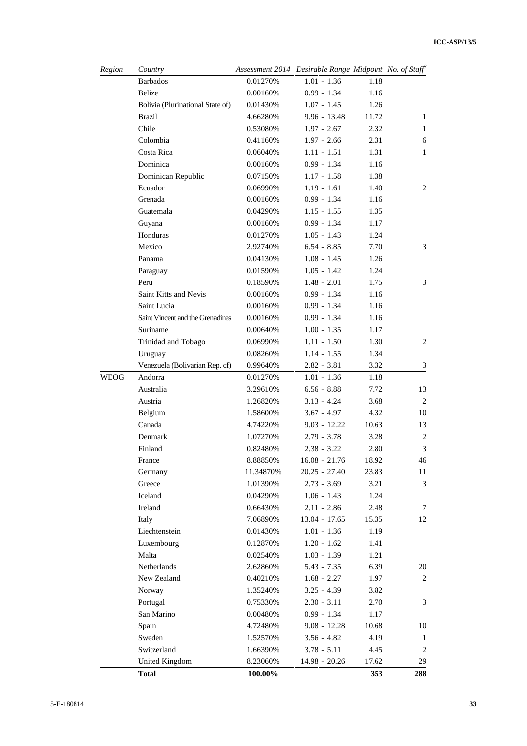| Region      | Country                          |           | Assessment 2014 Desirable Range Midpoint No. of Staff |       |                  |
|-------------|----------------------------------|-----------|-------------------------------------------------------|-------|------------------|
|             | <b>Barbados</b>                  | 0.01270%  | $1.01 - 1.36$                                         | 1.18  |                  |
|             | <b>Belize</b>                    | 0.00160%  | $0.99 - 1.34$                                         | 1.16  |                  |
|             | Bolivia (Plurinational State of) | 0.01430%  | $1.07 - 1.45$                                         | 1.26  |                  |
|             | <b>Brazil</b>                    | 4.66280%  | $9.96 - 13.48$                                        | 11.72 | $\mathbf{1}$     |
|             | Chile                            | 0.53080%  | $1.97 - 2.67$                                         | 2.32  | 1                |
|             | Colombia                         | 0.41160%  | $1.97 - 2.66$                                         | 2.31  | 6                |
|             | Costa Rica                       | 0.06040%  | $1.11 - 1.51$                                         | 1.31  | 1                |
|             | Dominica                         | 0.00160%  | $0.99 - 1.34$                                         | 1.16  |                  |
|             | Dominican Republic               | 0.07150%  | $1.17 - 1.58$                                         | 1.38  |                  |
|             | Ecuador                          | 0.06990%  | $1.19 - 1.61$                                         | 1.40  | $\overline{2}$   |
|             | Grenada                          | 0.00160%  | $0.99 - 1.34$                                         | 1.16  |                  |
|             | Guatemala                        | 0.04290%  | $1.15 - 1.55$                                         | 1.35  |                  |
|             | Guyana                           | 0.00160%  | $0.99 - 1.34$                                         | 1.17  |                  |
|             | Honduras                         | 0.01270%  | $1.05 - 1.43$                                         | 1.24  |                  |
|             | Mexico                           | 2.92740%  | $6.54 - 8.85$                                         | 7.70  | 3                |
|             | Panama                           | 0.04130%  | $1.08 - 1.45$                                         | 1.26  |                  |
|             | Paraguay                         | 0.01590%  | $1.05 - 1.42$                                         | 1.24  |                  |
|             | Peru                             | 0.18590%  | $1.48 - 2.01$                                         | 1.75  | 3                |
|             | Saint Kitts and Nevis            | 0.00160%  | $0.99 - 1.34$                                         | 1.16  |                  |
|             | Saint Lucia                      | 0.00160%  | $0.99 - 1.34$                                         | 1.16  |                  |
|             | Saint Vincent and the Grenadines | 0.00160%  | $0.99 - 1.34$                                         | 1.16  |                  |
|             | Suriname                         | 0.00640%  | $1.00 - 1.35$                                         | 1.17  |                  |
|             | Trinidad and Tobago              | 0.06990%  | $1.11 - 1.50$                                         | 1.30  | $\overline{2}$   |
|             | Uruguay                          | 0.08260%  | $1.14 - 1.55$                                         | 1.34  |                  |
|             | Venezuela (Bolivarian Rep. of)   | 0.99640%  | $2.82 - 3.81$                                         | 3.32  | $\mathfrak 3$    |
| <b>WEOG</b> | Andorra                          | 0.01270%  | $1.01 - 1.36$                                         | 1.18  |                  |
|             | Australia                        | 3.29610%  | $6.56 - 8.88$                                         | 7.72  | 13               |
|             | Austria                          | 1.26820%  | $3.13 - 4.24$                                         | 3.68  | $\overline{c}$   |
|             | Belgium                          | 1.58600%  | $3.67 - 4.97$                                         | 4.32  | 10               |
|             | Canada                           | 4.74220%  | $9.03 - 12.22$                                        | 10.63 | 13               |
|             | Denmark                          | 1.07270%  | $2.79 - 3.78$                                         | 3.28  | $\overline{2}$   |
|             | Finland                          | 0.82480%  | $2.38 - 3.22$                                         | 2.80  | 3                |
|             | France                           | 8.88850%  | $16.08 - 21.76$                                       | 18.92 | 46               |
|             | Germany                          | 11.34870% | $20.25 - 27.40$                                       | 23.83 | 11               |
|             | Greece                           | 1.01390%  | $2.73 - 3.69$                                         | 3.21  | 3                |
|             | Iceland                          | 0.04290%  | $1.06 - 1.43$                                         | 1.24  |                  |
|             | Ireland                          | 0.66430%  | $2.11 - 2.86$                                         | 2.48  | 7                |
|             | Italy                            | 7.06890%  | $13.04 - 17.65$                                       | 15.35 | 12               |
|             | Liechtenstein                    | 0.01430%  | $1.01 - 1.36$                                         | 1.19  |                  |
|             | Luxembourg                       | 0.12870%  | $1.20 - 1.62$                                         | 1.41  |                  |
|             | Malta                            | 0.02540%  | $1.03 - 1.39$                                         | 1.21  |                  |
|             | Netherlands                      | 2.62860%  | $5.43 - 7.35$                                         | 6.39  | 20               |
|             | New Zealand                      | 0.40210%  | $1.68 - 2.27$                                         | 1.97  | $\overline{2}$   |
|             | Norway                           | 1.35240%  | $3.25 - 4.39$                                         | 3.82  |                  |
|             | Portugal                         | 0.75330%  | $2.30 - 3.11$                                         | 2.70  | 3                |
|             | San Marino                       | 0.00480%  | $0.99 - 1.34$                                         | 1.17  |                  |
|             | Spain                            | 4.72480%  | $9.08 - 12.28$                                        | 10.68 | 10               |
|             | Sweden                           | 1.52570%  | $3.56 - 4.82$                                         | 4.19  | $\mathbf{1}$     |
|             | Switzerland                      | 1.66390%  | $3.78 - 5.11$                                         | 4.45  | $\boldsymbol{2}$ |
|             | United Kingdom                   | 8.23060%  | 14.98 - 20.26                                         | 17.62 | 29               |
|             | <b>Total</b>                     | 100.00%   |                                                       | 353   | 288              |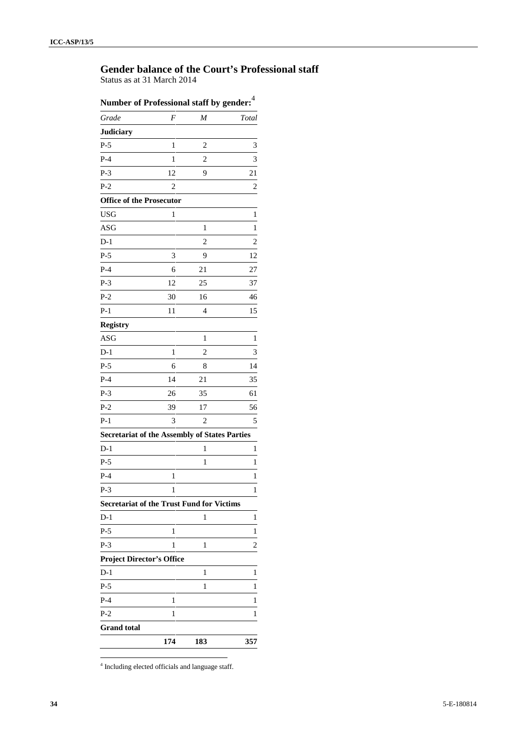## **Gender balance of the Court's Professional staff**

Status as at 31 March 2014

| Number of Professional staff by gender: <sup>4</sup> |                  |                |                         |
|------------------------------------------------------|------------------|----------------|-------------------------|
| Grade                                                | $\boldsymbol{F}$ | M              | Total                   |
| <b>Judiciary</b>                                     |                  |                |                         |
| $P-5$                                                | $\mathbf{1}$     | $\overline{c}$ | 3                       |
| $P-4$                                                | $\mathbf{1}$     | $\overline{c}$ | 3                       |
| $P-3$                                                | 12               | 9              | 21                      |
| $P-2$                                                | 2                |                | $\overline{\mathbf{c}}$ |
| <b>Office of the Prosecutor</b>                      |                  |                |                         |
| <b>USG</b>                                           | $\mathbf{1}$     |                | 1                       |
| ASG                                                  |                  | $\mathbf{1}$   | 1                       |
| $D-1$                                                |                  | $\overline{c}$ | $\overline{c}$          |
| $P-5$                                                | 3                | 9              | 12                      |
| $P-4$                                                | 6                | 21             | 27                      |
| $P-3$                                                | 12               | 25             | 37                      |
| $P-2$                                                | 30               | 16             | 46                      |
| $P-1$                                                | 11               | 4              | 15                      |
| <b>Registry</b>                                      |                  |                |                         |
| ASG                                                  |                  | 1              | 1                       |
| $D-1$                                                | 1                | $\overline{c}$ | 3                       |
| $P-5$                                                | 6                | 8              | 14                      |
| $P-4$                                                | 14               | 21             | 35                      |
| $P-3$                                                | 26               | 35             | 61                      |
| $P-2$                                                | 39               | 17             | 56                      |
| $P-1$                                                | 3                | 2              | 5                       |
| <b>Secretariat of the Assembly of States Parties</b> |                  |                |                         |
| $D-1$                                                |                  | $\mathbf{1}$   | 1                       |
| $P-5$                                                |                  | $\mathbf{1}$   | 1                       |
| $P-4$                                                | $\,1$            |                | $\mathbf{1}$            |
| $P-3$                                                | 1                |                | 1                       |
| <b>Secretariat of the Trust Fund for Victims</b>     |                  |                |                         |
| $D-1$                                                |                  | 1              | 1                       |
| $P-5$                                                | $\mathbf{1}$     |                | 1                       |
| $P-3$                                                | $\mathbf{1}$     | 1              | 2                       |
| <b>Project Director's Office</b>                     |                  |                |                         |
| $D-1$                                                |                  | 1              | 1                       |
| $P-5$                                                |                  | 1              | 1                       |
| $P-4$                                                | $\mathbf{1}$     |                | 1                       |
| $P-2$                                                | 1                |                | 1                       |
| <b>Grand</b> total                                   |                  |                |                         |
|                                                      | 174              | 183            | 357                     |

<sup>4</sup> Including elected officials and language staff.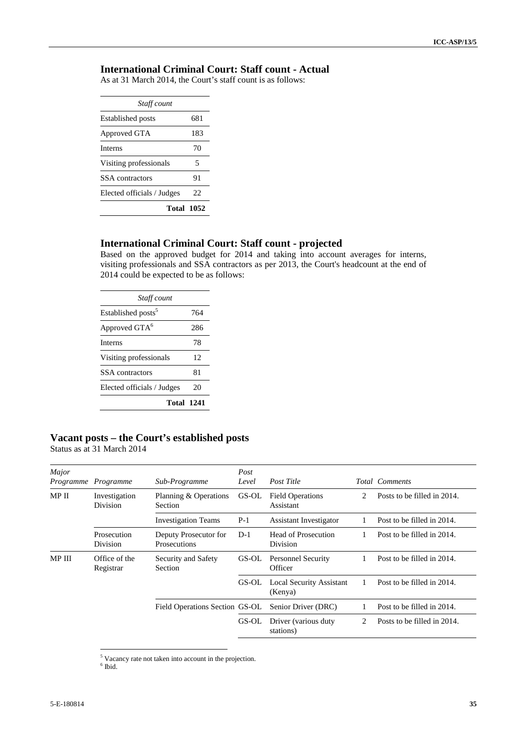## **International Criminal Court: Staff count - Actual**

As at 31 March 2014, the Court's staff count is as follows:

| Staff count                |     |
|----------------------------|-----|
| <b>Established posts</b>   | 681 |
| Approved GTA               | 183 |
| <b>Interns</b>             | 70  |
| Visiting professionals     | 5   |
| SSA contractors            | 91  |
| Elected officials / Judges | 22  |
| <b>Total 1052</b>          |     |

## **International Criminal Court: Staff count - projected**

Based on the approved budget for 2014 and taking into account averages for interns, visiting professionals and SSA contractors as per 2013, the Court's headcount at the end of 2014 could be expected to be as follows:

| 764        |
|------------|
| 286        |
| 78         |
| 12         |
| 81         |
| 20         |
| Total 1241 |
|            |

## **Vacant posts – the Court's established posts**

Status as at 31 March 2014

| Programme                      | Sub-Programme                         | Post<br>Level | Post Title                                 |    | <b>Total Comments</b>       |
|--------------------------------|---------------------------------------|---------------|--------------------------------------------|----|-----------------------------|
| Investigation<br>Division      | Planning & Operations<br>Section      | GS-OL         | <b>Field Operations</b><br>Assistant       | 2. | Posts to be filled in 2014. |
|                                | <b>Investigation Teams</b>            | $P-1$         | <b>Assistant Investigator</b>              |    | Post to be filled in 2014.  |
| Prosecution<br><b>Division</b> | Deputy Prosecutor for<br>Prosecutions | $D-1$         | Head of Prosecution<br>Division            |    | Post to be filled in 2014.  |
| Office of the<br>Registrar     | Security and Safety<br>Section        | GS-OL         | <b>Personnel Security</b><br>Officer       |    | Post to be filled in 2014.  |
|                                |                                       | GS-OL         | <b>Local Security Assistant</b><br>(Kenya) |    | Post to be filled in 2014.  |
|                                |                                       |               | Senior Driver (DRC)                        |    | Post to be filled in 2014.  |
|                                |                                       | GS-OL         | Driver (various duty<br>stations)          | 2. | Posts to be filled in 2014. |
|                                |                                       |               | Field Operations Section GS-OL             |    |                             |

 $^{\rm 5}$  Vacancy rate not taken into account in the projection.  $^{\rm 6}$  Ibid.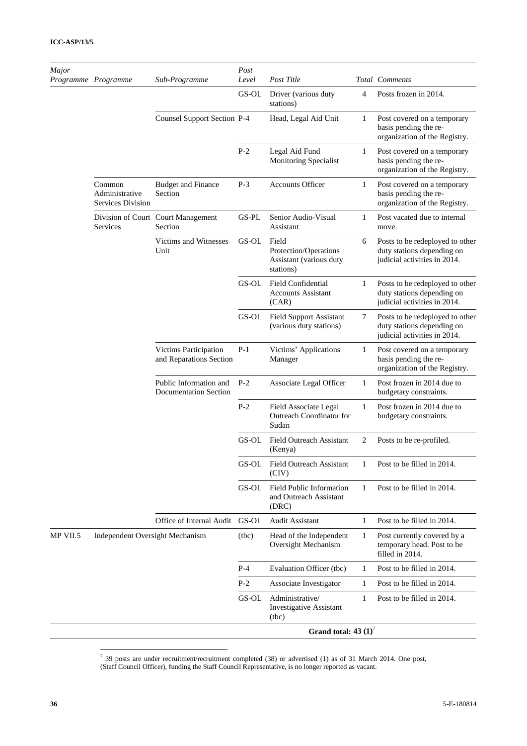| Major    | Programme Programme                           | Sub-Programme                                    | Post<br>Level          | Post Title                                                             |                | Total Comments                                                                                |
|----------|-----------------------------------------------|--------------------------------------------------|------------------------|------------------------------------------------------------------------|----------------|-----------------------------------------------------------------------------------------------|
|          |                                               |                                                  | GS-OL                  | Driver (various duty<br>stations)                                      | $\overline{4}$ | Posts frozen in 2014.                                                                         |
|          |                                               | <b>Counsel Support Section P-4</b>               |                        | Head, Legal Aid Unit                                                   | 1              | Post covered on a temporary<br>basis pending the re-<br>organization of the Registry.         |
|          |                                               |                                                  | $P-2$                  | Legal Aid Fund<br>Monitoring Specialist                                | 1              | Post covered on a temporary<br>basis pending the re-<br>organization of the Registry.         |
|          | Common<br>Administrative<br>Services Division | <b>Budget and Finance</b><br>Section             | $P-3$                  | <b>Accounts Officer</b>                                                | 1              | Post covered on a temporary<br>basis pending the re-<br>organization of the Registry.         |
|          | Services                                      | Division of Court Court Management<br>Section    | GS-PL                  | Senior Audio-Visual<br>Assistant                                       | 1              | Post vacated due to internal<br>move.                                                         |
|          |                                               | Victims and Witnesses<br>Unit                    | GS-OL                  | Field<br>Protection/Operations<br>Assistant (various duty<br>stations) | 6              | Posts to be redeployed to other<br>duty stations depending on<br>judicial activities in 2014. |
|          |                                               |                                                  | $\operatorname{GS-OL}$ | <b>Field Confidential</b><br><b>Accounts Assistant</b><br>(CAR)        | 1              | Posts to be redeployed to other<br>duty stations depending on<br>judicial activities in 2014. |
|          |                                               |                                                  | GS-OL                  | <b>Field Support Assistant</b><br>(various duty stations)              | 7              | Posts to be redeployed to other<br>duty stations depending on<br>judicial activities in 2014. |
|          |                                               | Victims Participation<br>and Reparations Section | $P-1$                  | Victims' Applications<br>Manager                                       | 1              | Post covered on a temporary<br>basis pending the re-<br>organization of the Registry.         |
|          |                                               | Public Information and<br>Documentation Section  | $P-2$                  | Associate Legal Officer                                                | 1              | Post frozen in 2014 due to<br>budgetary constraints.                                          |
|          |                                               |                                                  | $P-2$                  | Field Associate Legal<br>Outreach Coordinator for<br>Sudan             | $\mathbf{1}$   | Post frozen in 2014 due to<br>budgetary constraints.                                          |
|          |                                               |                                                  | GS-OL                  | Field Outreach Assistant<br>(Kenya)                                    | 2              | Posts to be re-profiled.                                                                      |
|          |                                               |                                                  | GS-OL                  | <b>Field Outreach Assistant</b><br>(CIV)                               | 1              | Post to be filled in 2014.                                                                    |
|          |                                               |                                                  | GS-OL                  | Field Public Information<br>and Outreach Assistant<br>(DRC)            | 1              | Post to be filled in 2014.                                                                    |
|          |                                               | Office of Internal Audit                         | GS-OL                  | <b>Audit Assistant</b>                                                 | 1              | Post to be filled in 2014.                                                                    |
| MP VII.5 | Independent Oversight Mechanism               |                                                  | (tbc)                  | Head of the Independent<br>Oversight Mechanism                         | 1              | Post currently covered by a<br>temporary head. Post to be<br>filled in 2014.                  |
|          |                                               |                                                  | $P-4$                  | Evaluation Officer (tbc)                                               | 1              | Post to be filled in 2014.                                                                    |
|          |                                               |                                                  | $P-2$                  | Associate Investigator                                                 | 1              | Post to be filled in 2014.                                                                    |
|          |                                               |                                                  | GS-OL                  | Administrative/<br><b>Investigative Assistant</b><br>(tbc)             | 1              | Post to be filled in 2014.                                                                    |
|          |                                               |                                                  |                        | Grand total: $43 (1)^7$                                                |                |                                                                                               |

 $7$  39 posts are under recruitment/recruitment completed (38) or advertised (1) as of 31 March 2014. One post,

<sup>(</sup>Staff Council Officer), funding the Staff Council Representative, is no longer reported as vacant.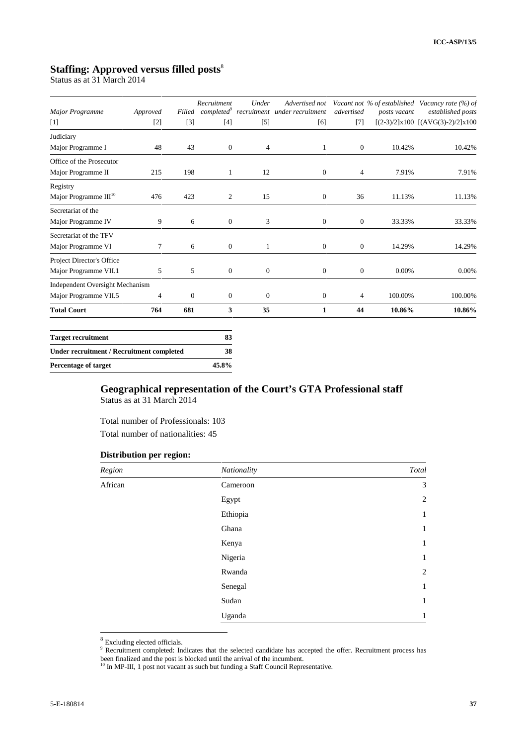## **Staffing: Approved versus filled posts**<sup>8</sup>

Status as at 31 March 2014

| Major Programme                                  | Approved |                  | Recruitment      | Under            | Advertised not<br>Filled completed <sup>9</sup> recruitment under recruitment | advertised     | posts vacant | Vacant not % of established Vacancy rate (%) of<br>established posts |
|--------------------------------------------------|----------|------------------|------------------|------------------|-------------------------------------------------------------------------------|----------------|--------------|----------------------------------------------------------------------|
| $[1]$                                            | $[2]$    | $[3]$            | $[4]$            | $[5]$            | $[6]$                                                                         | $[7]$          |              | $[(2-3)/2]x100$ $[(AVG(3)-2)/2]x100$                                 |
| Judiciary                                        |          |                  |                  |                  |                                                                               |                |              |                                                                      |
| Major Programme I                                | 48       | 43               | $\boldsymbol{0}$ | 4                | 1                                                                             | $\overline{0}$ | 10.42%       | 10.42%                                                               |
| Office of the Prosecutor                         |          |                  |                  |                  |                                                                               |                |              |                                                                      |
| Major Programme II                               | 215      | 198              | 1                | 12               | $\overline{0}$                                                                | 4              | 7.91%        | 7.91%                                                                |
| Registry                                         |          |                  |                  |                  |                                                                               |                |              |                                                                      |
| Major Programme III <sup>10</sup>                | 476      | 423              | 2                | 15               | $\overline{0}$                                                                | 36             | 11.13%       | 11.13%                                                               |
| Secretariat of the                               |          |                  |                  |                  |                                                                               |                |              |                                                                      |
| Major Programme IV                               | 9        | 6                | $\mathbf{0}$     | 3                | $\overline{0}$                                                                | $\mathbf{0}$   | 33.33%       | 33.33%                                                               |
| Secretariat of the TFV                           |          |                  |                  |                  |                                                                               |                |              |                                                                      |
| Major Programme VI                               | 7        | 6                | $\boldsymbol{0}$ |                  | $\overline{0}$                                                                | $\mathbf{0}$   | 14.29%       | 14.29%                                                               |
| Project Director's Office                        |          |                  |                  |                  |                                                                               |                |              |                                                                      |
| Major Programme VII.1                            | 5        | 5                | $\boldsymbol{0}$ | $\boldsymbol{0}$ | $\overline{0}$                                                                | $\mathbf{0}$   | 0.00%        | 0.00%                                                                |
| Independent Oversight Mechanism                  |          |                  |                  |                  |                                                                               |                |              |                                                                      |
| Major Programme VII.5                            | 4        | $\boldsymbol{0}$ | $\boldsymbol{0}$ | $\boldsymbol{0}$ | 0                                                                             | 4              | 100.00%      | 100.00%                                                              |
| <b>Total Court</b>                               | 764      | 681              | 3                | 35               | 1                                                                             | 44             | 10.86%       | 10.86%                                                               |
|                                                  |          |                  |                  |                  |                                                                               |                |              |                                                                      |
| <b>Target recruitment</b>                        |          |                  | 83               |                  |                                                                               |                |              |                                                                      |
| <b>Under recruitment / Recruitment completed</b> |          |                  | 38               |                  |                                                                               |                |              |                                                                      |

## **Geographical representation of the Court's GTA Professional staff** Status as at 31 March 2014

Total number of Professionals: 103 Total number of nationalities: 45

#### **Distribution per region:**

**Percentage of target 45.8%**

| Region  | Nationality | Total          |
|---------|-------------|----------------|
| African | Cameroon    | 3              |
|         | Egypt       | $\overline{2}$ |
|         | Ethiopia    | 1              |
|         | Ghana       | 1              |
|         | Kenya       | 1              |
|         | Nigeria     | 1              |
|         | Rwanda      | $\overline{2}$ |
|         | Senegal     | 1              |
|         | Sudan       | 1              |
|         | Uganda      | 1              |

<sup>&</sup>lt;sup>8</sup> Excluding elected officials.

<sup>&</sup>lt;sup>9</sup> Recruitment completed: Indicates that the selected candidate has accepted the offer. Recruitment process has been finalized and the post is blocked until the arrival of the incumbent.<br><sup>10</sup> In MP-III, 1 post not vacant as such but funding a Staff Council Representative.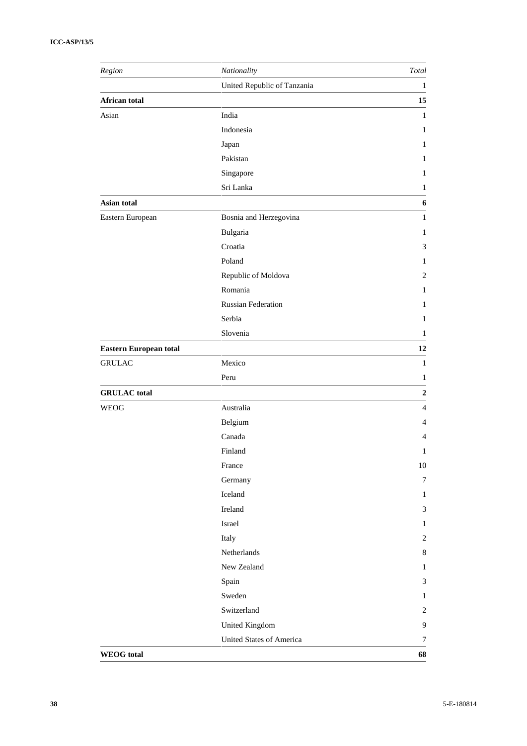| Region                        | Nationality                     | Total            |
|-------------------------------|---------------------------------|------------------|
|                               | United Republic of Tanzania     | 1                |
| African total                 |                                 | 15               |
| Asian                         | India                           | $\mathbf{1}$     |
|                               | Indonesia                       | $\mathbf{1}$     |
|                               | Japan                           | 1                |
|                               | Pakistan                        | $\mathbf{1}$     |
|                               | Singapore                       | 1                |
|                               | Sri Lanka                       | 1                |
| Asian total                   |                                 | 6                |
| Eastern European              | Bosnia and Herzegovina          | $\mathbf{1}$     |
|                               | Bulgaria                        | 1                |
|                               | Croatia                         | 3                |
|                               | Poland                          | 1                |
|                               | Republic of Moldova             | $\mathbf{2}$     |
|                               | Romania                         | 1                |
|                               | <b>Russian Federation</b>       | 1                |
|                               | Serbia                          | $\mathbf{1}$     |
|                               | Slovenia                        | 1                |
| <b>Eastern European total</b> |                                 | 12               |
| <b>GRULAC</b>                 | Mexico                          | $\mathbf{1}$     |
|                               | Peru                            | 1                |
| <b>GRULAC</b> total           |                                 | $\mathbf 2$      |
| <b>WEOG</b>                   | Australia                       | $\overline{4}$   |
|                               | Belgium                         | 4                |
|                               | Canada                          | 4                |
|                               | Finland                         | $\mathbf{1}$     |
|                               | France                          | $10\,$           |
|                               | Germany                         | $\boldsymbol{7}$ |
|                               | Iceland                         | $\mathbf{1}$     |
|                               | Ireland                         | $\mathfrak{Z}$   |
|                               | Israel                          | $\mathbf{1}$     |
|                               | Italy                           | $\sqrt{2}$       |
|                               | Netherlands                     | $\,8\,$          |
|                               | New Zealand                     | $\mathbf{1}$     |
|                               | Spain                           | $\mathfrak{Z}$   |
|                               | Sweden                          | $\mathbf{1}$     |
|                               | Switzerland                     | $\mathbf{2}$     |
|                               | United Kingdom                  | $\mathbf{9}$     |
|                               | <b>United States of America</b> | $\boldsymbol{7}$ |
| <b>WEOG</b> total             |                                 | 68               |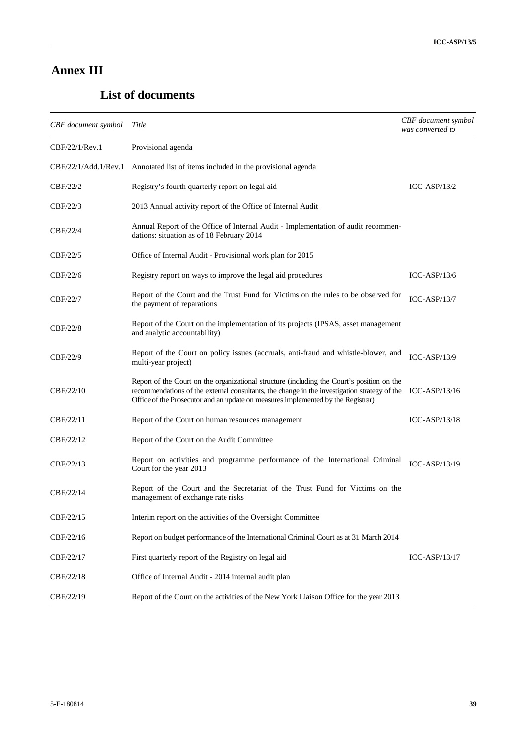## **Annex III**

## **List of documents**

| CBF document symbol  | Title                                                                                                                                                                                                                                                                                        | CBF document symbol<br>was converted to |
|----------------------|----------------------------------------------------------------------------------------------------------------------------------------------------------------------------------------------------------------------------------------------------------------------------------------------|-----------------------------------------|
| CBF/22/1/Rev.1       | Provisional agenda                                                                                                                                                                                                                                                                           |                                         |
| CBF/22/1/Add.1/Rev.1 | Annotated list of items included in the provisional agenda                                                                                                                                                                                                                                   |                                         |
| CBF/22/2             | Registry's fourth quarterly report on legal aid                                                                                                                                                                                                                                              | $ICC-ASP/13/2$                          |
| CBF/22/3             | 2013 Annual activity report of the Office of Internal Audit                                                                                                                                                                                                                                  |                                         |
| CBF/22/4             | Annual Report of the Office of Internal Audit - Implementation of audit recommen-<br>dations: situation as of 18 February 2014                                                                                                                                                               |                                         |
| CBF/22/5             | Office of Internal Audit - Provisional work plan for 2015                                                                                                                                                                                                                                    |                                         |
| CBF/22/6             | Registry report on ways to improve the legal aid procedures                                                                                                                                                                                                                                  | $ICC-ASP/13/6$                          |
| CBF/22/7             | Report of the Court and the Trust Fund for Victims on the rules to be observed for<br>the payment of reparations                                                                                                                                                                             | $ICC-ASP/13/7$                          |
| CBF/22/8             | Report of the Court on the implementation of its projects (IPSAS, asset management<br>and analytic accountability)                                                                                                                                                                           |                                         |
| CBF/22/9             | Report of the Court on policy issues (accruals, anti-fraud and whistle-blower, and<br>multi-year project)                                                                                                                                                                                    | $ICC-ASP/13/9$                          |
| CBF/22/10            | Report of the Court on the organizational structure (including the Court's position on the<br>recommendations of the external consultants, the change in the investigation strategy of the ICC-ASP/13/16<br>Office of the Prosecutor and an update on measures implemented by the Registrar) |                                         |
| CBF/22/11            | Report of the Court on human resources management                                                                                                                                                                                                                                            | $ICC-ASP/13/18$                         |
| CBF/22/12            | Report of the Court on the Audit Committee                                                                                                                                                                                                                                                   |                                         |
| CBF/22/13            | Report on activities and programme performance of the International Criminal<br>Court for the year 2013                                                                                                                                                                                      | $ICC-ASP/13/19$                         |
| CBF/22/14            | Report of the Court and the Secretariat of the Trust Fund for Victims on the<br>management of exchange rate risks                                                                                                                                                                            |                                         |
| CBF/22/15            | Interim report on the activities of the Oversight Committee                                                                                                                                                                                                                                  |                                         |
| CBF/22/16            | Report on budget performance of the International Criminal Court as at 31 March 2014                                                                                                                                                                                                         |                                         |
| CBF/22/17            | First quarterly report of the Registry on legal aid                                                                                                                                                                                                                                          | $ICC-ASP/13/17$                         |
| CBF/22/18            | Office of Internal Audit - 2014 internal audit plan                                                                                                                                                                                                                                          |                                         |
| CBF/22/19            | Report of the Court on the activities of the New York Liaison Office for the year 2013                                                                                                                                                                                                       |                                         |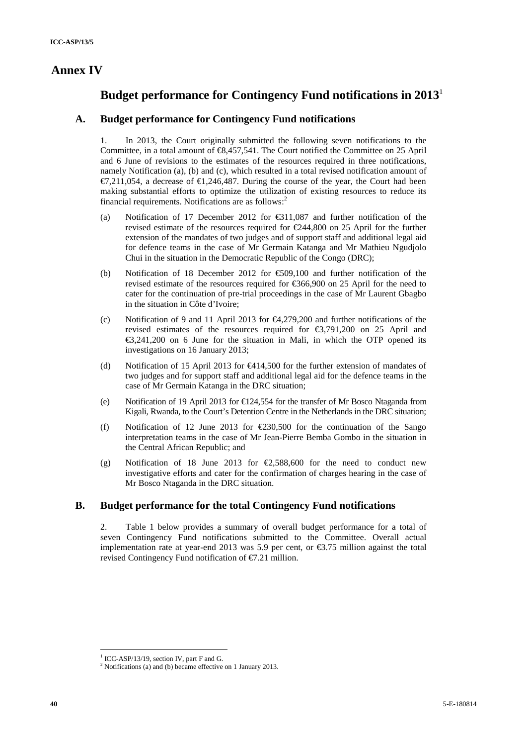## **Annex IV**

## **Budget performance for Contingency Fund notifications in 2013** 1

## **A. Budget performance for Contingency Fund notifications**

1. In 2013, the Court originally submitted the following seven notifications to the Committee, in a total amount of €8,457,541. The Court notified the Committee on 25 April and 6 June of revisions to the estimates of the resources required in three notifications, namely Notification (a), (b) and (c), which resulted in a total revised notification amount of  $\in$  7.211,054, a decrease of  $\in$  2.246,487. During the course of the year, the Court had been making substantial efforts to optimize the utilization of existing resources to reduce its financial requirements. Notifications are as follows: $<sup>2</sup>$ </sup>

- (a) Notification of 17 December 2012 for €311,087 and further notification of the revised estimate of the resources required for €244,800 on 25 April for the further extension of the mandates of two judges and of support staff and additional legal aid for defence teams in the case of Mr Germain Katanga and Mr Mathieu Ngudjolo Chui in the situation in the Democratic Republic of the Congo (DRC);
- (b) Notification of 18 December 2012 for  $\epsilon$ 509,100 and further notification of the revised estimate of the resources required for €366,900 on 25 April for the need to cater for the continuation of pre-trial proceedings in the case of Mr Laurent Gbagbo in the situation in Côte d'Ivoire;
- (c) Notification of 9 and 11 April 2013 for €4,279,200 and further notifications of the revised estimates of the resources required for €3,791,200 on 25 April and €3,241,200 on 6 June for the situation in Mali, in which the OTP opened its investigations on 16 January 2013;
- (d) Notification of 15 April 2013 for €414,500 for the further extension of mandates of two judges and for support staff and additional legal aid for the defence teams in the case of Mr Germain Katanga in the DRC situation;
- (e) Notification of 19 April 2013 for €124,554 for the transfer of Mr Bosco Ntaganda from Kigali, Rwanda, to the Court's Detention Centre in the Netherlands in the DRC situation;
- (f) Notification of 12 June 2013 for  $\text{\textcircled{230,500}}$  for the continuation of the Sango interpretation teams in the case of Mr Jean-Pierre Bemba Gombo in the situation in the Central African Republic; and
- (g) Notification of 18 June 2013 for  $\epsilon$  588,600 for the need to conduct new investigative efforts and cater for the confirmation of charges hearing in the case of Mr Bosco Ntaganda in the DRC situation.

### **B. Budget performance for the total Contingency Fund notifications**

2. Table 1 below provides a summary of overall budget performance for a total of seven Contingency Fund notifications submitted to the Committee. Overall actual implementation rate at year-end 2013 was 5.9 per cent, or  $\epsilon$ 3.75 million against the total revised Contingency Fund notification of €7.21 million.

<sup>&</sup>lt;sup>1</sup> ICC-ASP/13/19, section IV, part F and G.<br><sup>2</sup> Notifications (a) and (b) became effective on 1 January 2013.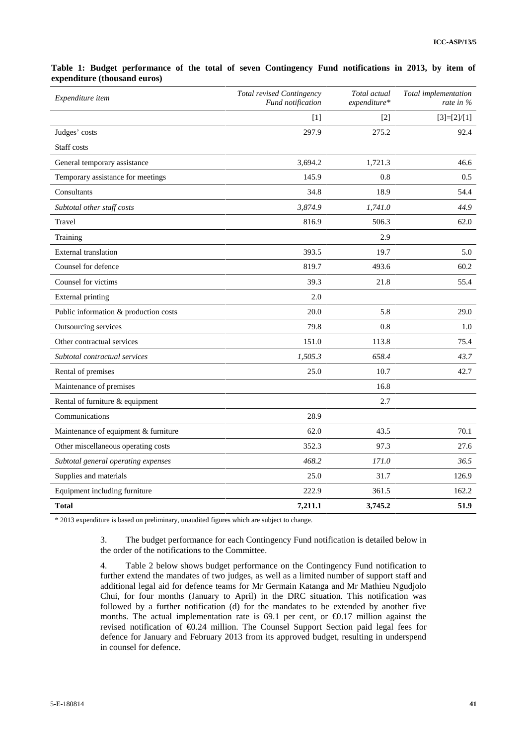| Expenditure item                      | Total revised Contingency<br>Fund notification | Total actual<br>expenditure* | Total implementation<br>rate in % |
|---------------------------------------|------------------------------------------------|------------------------------|-----------------------------------|
|                                       | $[1]$                                          | $[2]$                        | $[3]=[2]/[1]$                     |
| Judges' costs                         | 297.9                                          | 275.2                        | 92.4                              |
| Staff costs                           |                                                |                              |                                   |
| General temporary assistance          | 3,694.2                                        | 1,721.3                      | 46.6                              |
| Temporary assistance for meetings     | 145.9                                          | 0.8                          | 0.5                               |
| Consultants                           | 34.8                                           | 18.9                         | 54.4                              |
| Subtotal other staff costs            | 3,874.9                                        | 1,741.0                      | 44.9                              |
| Travel                                | 816.9                                          | 506.3                        | 62.0                              |
| Training                              |                                                | 2.9                          |                                   |
| <b>External</b> translation           | 393.5                                          | 19.7                         | 5.0                               |
| Counsel for defence                   | 819.7                                          | 493.6                        | 60.2                              |
| Counsel for victims                   | 39.3                                           | 21.8                         | 55.4                              |
| <b>External printing</b>              | 2.0                                            |                              |                                   |
| Public information & production costs | 20.0                                           | 5.8                          | 29.0                              |
| Outsourcing services                  | 79.8                                           | 0.8                          | 1.0                               |
| Other contractual services            | 151.0                                          | 113.8                        | 75.4                              |
| Subtotal contractual services         | 1,505.3                                        | 658.4                        | 43.7                              |
| Rental of premises                    | 25.0                                           | 10.7                         | 42.7                              |
| Maintenance of premises               |                                                | 16.8                         |                                   |
| Rental of furniture & equipment       |                                                | 2.7                          |                                   |
| Communications                        | 28.9                                           |                              |                                   |
| Maintenance of equipment & furniture  | 62.0                                           | 43.5                         | 70.1                              |
| Other miscellaneous operating costs   | 352.3                                          | 97.3                         | 27.6                              |
| Subtotal general operating expenses   | 468.2                                          | 171.0                        | 36.5                              |
| Supplies and materials                | 25.0                                           | 31.7                         | 126.9                             |
| Equipment including furniture         | 222.9                                          | 361.5                        | 162.2                             |
| <b>Total</b>                          | 7,211.1                                        | 3,745.2                      | 51.9                              |

#### **Table 1: Budget performance of the total of seven Contingency Fund notifications in 2013, by item of expenditure (thousand euros)**

\* 2013 expenditure is based on preliminary, unaudited figures which are subject to change.

3. The budget performance for each Contingency Fund notification is detailed below in the order of the notifications to the Committee.

4. Table 2 below shows budget performance on the Contingency Fund notification to further extend the mandates of two judges, as well as a limited number of support staff and additional legal aid for defence teams for Mr Germain Katanga and Mr Mathieu Ngudjolo Chui, for four months (January to April) in the DRC situation. This notification was followed by a further notification (d) for the mandates to be extended by another five months. The actual implementation rate is  $69.1$  per cent, or  $60.17$  million against the revised notification of €0.24 million. The Counsel Support Section paid legal fees for defence for January and February 2013 from its approved budget, resulting in underspend in counsel for defence.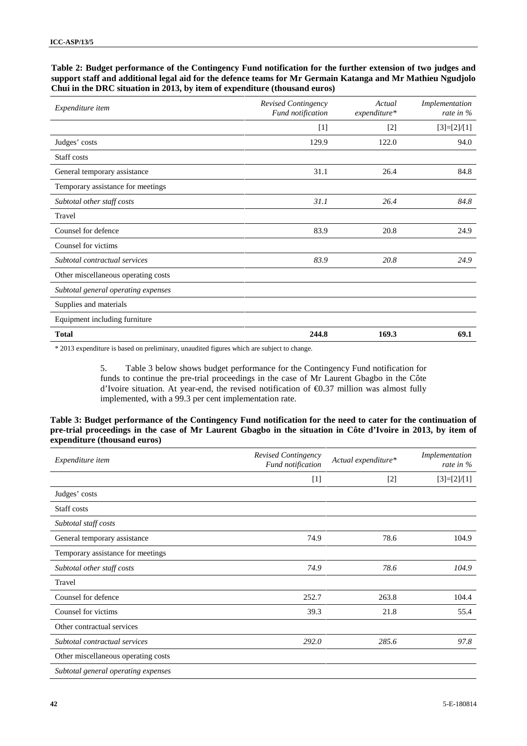#### **Table 2: Budget performance of the Contingency Fund notification for the further extension of two judges and support staff and additional legal aid for the defence teams for Mr Germain Katanga and Mr Mathieu Ngudjolo Chui in the DRC situation in 2013, by item of expenditure (thousand euros)**

| Expenditure item                    | Revised Contingency<br>Fund notification | Actual<br>expenditure* | Implementation<br>rate in $%$ |
|-------------------------------------|------------------------------------------|------------------------|-------------------------------|
|                                     | $[1]$                                    | $[2]$                  | $[3]=[2]/[1]$                 |
| Judges' costs                       | 129.9                                    | 122.0                  | 94.0                          |
| Staff costs                         |                                          |                        |                               |
| General temporary assistance        | 31.1                                     | 26.4                   | 84.8                          |
| Temporary assistance for meetings   |                                          |                        |                               |
| Subtotal other staff costs          | 31.1                                     | 26.4                   | 84.8                          |
| Travel                              |                                          |                        |                               |
| Counsel for defence                 | 83.9                                     | 20.8                   | 24.9                          |
| Counsel for victims                 |                                          |                        |                               |
| Subtotal contractual services       | 83.9                                     | 20.8                   | 24.9                          |
| Other miscellaneous operating costs |                                          |                        |                               |
| Subtotal general operating expenses |                                          |                        |                               |
| Supplies and materials              |                                          |                        |                               |
| Equipment including furniture       |                                          |                        |                               |
| <b>Total</b>                        | 244.8                                    | 169.3                  | 69.1                          |

\* 2013 expenditure is based on preliminary, unaudited figures which are subject to change.

5. Table 3 below shows budget performance for the Contingency Fund notification for funds to continue the pre-trial proceedings in the case of Mr Laurent Gbagbo in the Côte d'Ivoire situation. At year-end, the revised notification of €0.37 million was almost fully implemented, with a 99.3 per cent implementation rate.

#### **Table 3: Budget performance of the Contingency Fund notification for the need to cater for the continuation of pre-trial proceedings in the case of Mr Laurent Gbagbo in the situation in Côte d'Ivoire in 2013, by item of expenditure (thousand euros)**

| Expenditure item                    | <b>Revised Contingency</b><br>Fund notification | Actual expenditure* | Implementation<br>rate in % |
|-------------------------------------|-------------------------------------------------|---------------------|-----------------------------|
|                                     | $[1]$                                           | $[2]$               | $[3]=[2]/[1]$               |
| Judges' costs                       |                                                 |                     |                             |
| Staff costs                         |                                                 |                     |                             |
| Subtotal staff costs                |                                                 |                     |                             |
| General temporary assistance        | 74.9                                            | 78.6                | 104.9                       |
| Temporary assistance for meetings   |                                                 |                     |                             |
| Subtotal other staff costs          | 74.9                                            | 78.6                | 104.9                       |
| Travel                              |                                                 |                     |                             |
| Counsel for defence                 | 252.7                                           | 263.8               | 104.4                       |
| Counsel for victims                 | 39.3                                            | 21.8                | 55.4                        |
| Other contractual services          |                                                 |                     |                             |
| Subtotal contractual services       | 292.0                                           | 285.6               | 97.8                        |
| Other miscellaneous operating costs |                                                 |                     |                             |
| Subtotal general operating expenses |                                                 |                     |                             |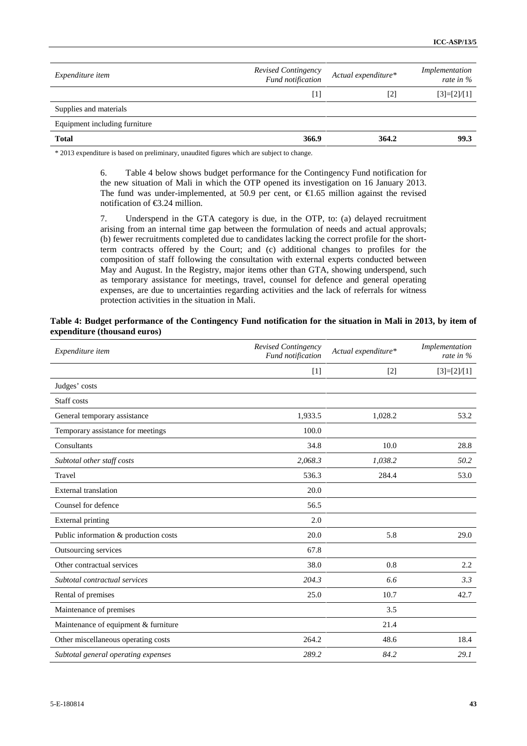| <i>Expenditure item</i>       | Revised Contingency<br>Fund notification                                                                                                                                                                   | Actual expenditure* | Implementation<br>rate in % |
|-------------------------------|------------------------------------------------------------------------------------------------------------------------------------------------------------------------------------------------------------|---------------------|-----------------------------|
|                               | $[1] % \includegraphics[width=0.9\columnwidth]{figures/fig_10.pdf} \caption{The 3D (black) model for the estimators in the left and right. The left and right is the same as in the right.} \label{fig:2}$ | $\lceil 2 \rceil$   | $[3]=[2]/[1]$               |
| Supplies and materials        |                                                                                                                                                                                                            |                     |                             |
| Equipment including furniture |                                                                                                                                                                                                            |                     |                             |
| <b>Total</b>                  | 366.9                                                                                                                                                                                                      | 364.2               | 99.3                        |

\* 2013 expenditure is based on preliminary, unaudited figures which are subject to change.

6. Table 4 below shows budget performance for the Contingency Fund notification for the new situation of Mali in which the OTP opened its investigation on 16 January 2013. The fund was under-implemented, at 50.9 per cent, or  $\epsilon$ 1.65 million against the revised notification of  $\epsilon$ 3.24 million.

7. Underspend in the GTA category is due, in the OTP, to: (a) delayed recruitment arising from an internal time gap between the formulation of needs and actual approvals; (b) fewer recruitments completed due to candidates lacking the correct profile for the shortterm contracts offered by the Court; and (c) additional changes to profiles for the composition of staff following the consultation with external experts conducted between May and August. In the Registry, major items other than GTA, showing underspend, such as temporary assistance for meetings, travel, counsel for defence and general operating expenses, are due to uncertainties regarding activities and the lack of referrals for witness protection activities in the situation in Mali.

#### **Table 4: Budget performance of the Contingency Fund notification for the situation in Mali in 2013, by item of expenditure (thousand euros)**

| Expenditure item                      | Revised Contingency<br>Fund notification | Actual expenditure* | Implementation<br>rate in % |
|---------------------------------------|------------------------------------------|---------------------|-----------------------------|
|                                       | $[1]$                                    | $[2]$               | $[3]=[2]/[1]$               |
| Judges' costs                         |                                          |                     |                             |
| Staff costs                           |                                          |                     |                             |
| General temporary assistance          | 1,933.5                                  | 1,028.2             | 53.2                        |
| Temporary assistance for meetings     | 100.0                                    |                     |                             |
| Consultants                           | 34.8                                     | 10.0                | 28.8                        |
| Subtotal other staff costs            | 2,068.3                                  | 1,038.2             | 50.2                        |
| Travel                                | 536.3                                    | 284.4               | 53.0                        |
| <b>External</b> translation           | 20.0                                     |                     |                             |
| Counsel for defence                   | 56.5                                     |                     |                             |
| <b>External printing</b>              | 2.0                                      |                     |                             |
| Public information & production costs | 20.0                                     | 5.8                 | 29.0                        |
| Outsourcing services                  | 67.8                                     |                     |                             |
| Other contractual services            | 38.0                                     | 0.8                 | 2.2                         |
| Subtotal contractual services         | 204.3                                    | 6.6                 | 3.3                         |
| Rental of premises                    | 25.0                                     | 10.7                | 42.7                        |
| Maintenance of premises               |                                          | 3.5                 |                             |
| Maintenance of equipment & furniture  |                                          | 21.4                |                             |
| Other miscellaneous operating costs   | 264.2                                    | 48.6                | 18.4                        |
| Subtotal general operating expenses   | 289.2                                    | 84.2                | 29.1                        |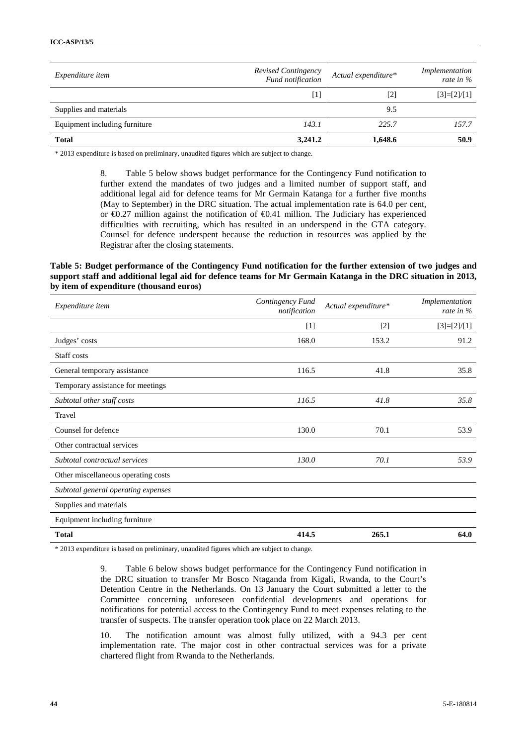| <i>Expenditure item</i>       | Revised Contingency<br>Fund notification                                                                                                                                                                   | Actual expenditure* | Implementation<br>rate in % |
|-------------------------------|------------------------------------------------------------------------------------------------------------------------------------------------------------------------------------------------------------|---------------------|-----------------------------|
|                               | $[1] % \includegraphics[width=0.9\columnwidth]{figures/fig_10.pdf} \caption{The 3D (black) model for the estimators in the left and right. The left and right is the same as in the right.} \label{fig:2}$ | $\lceil 2 \rceil$   | $[3]=[2]/[1]$               |
| Supplies and materials        |                                                                                                                                                                                                            | 9.5                 |                             |
| Equipment including furniture | 143.1                                                                                                                                                                                                      | 225.7               | 157.7                       |
| <b>Total</b>                  | 3,241.2                                                                                                                                                                                                    | 1,648.6             | 50.9                        |

\* 2013 expenditure is based on preliminary, unaudited figures which are subject to change.

8. Table 5 below shows budget performance for the Contingency Fund notification to further extend the mandates of two judges and a limited number of support staff, and additional legal aid for defence teams for Mr Germain Katanga for a further five months (May to September) in the DRC situation. The actual implementation rate is 64.0 per cent, or €0.27 million against the notification of €0.41 million. The Judiciary has experienced difficulties with recruiting, which has resulted in an underspend in the GTA category. Counsel for defence underspent because the reduction in resources was applied by the Registrar after the closing statements.

#### **Table 5: Budget performance of the Contingency Fund notification for the further extension of two judges and support staff and additional legal aid for defence teams for Mr Germain Katanga in the DRC situation in 2013, by item of expenditure (thousand euros)**

| Expenditure item                    | Contingency Fund<br>notification | Actual expenditure* | Implementation<br>rate in % |
|-------------------------------------|----------------------------------|---------------------|-----------------------------|
|                                     | $[1]$                            | $[2]$               | $[3]=[2]/[1]$               |
| Judges' costs                       | 168.0                            | 153.2               | 91.2                        |
| Staff costs                         |                                  |                     |                             |
| General temporary assistance        | 116.5                            | 41.8                | 35.8                        |
| Temporary assistance for meetings   |                                  |                     |                             |
| Subtotal other staff costs          | 116.5                            | 41.8                | 35.8                        |
| Travel                              |                                  |                     |                             |
| Counsel for defence                 | 130.0                            | 70.1                | 53.9                        |
| Other contractual services          |                                  |                     |                             |
| Subtotal contractual services       | 130.0                            | 70.1                | 53.9                        |
| Other miscellaneous operating costs |                                  |                     |                             |
| Subtotal general operating expenses |                                  |                     |                             |
| Supplies and materials              |                                  |                     |                             |
| Equipment including furniture       |                                  |                     |                             |
| <b>Total</b>                        | 414.5                            | 265.1               | 64.0                        |

\* 2013 expenditure is based on preliminary, unaudited figures which are subject to change.

9. Table 6 below shows budget performance for the Contingency Fund notification in the DRC situation to transfer Mr Bosco Ntaganda from Kigali, Rwanda, to the Court's Detention Centre in the Netherlands. On 13 January the Court submitted a letter to the Committee concerning unforeseen confidential developments and operations for notifications for potential access to the Contingency Fund to meet expenses relating to the transfer of suspects. The transfer operation took place on 22 March 2013.

10. The notification amount was almost fully utilized, with a 94.3 per cent implementation rate. The major cost in other contractual services was for a private chartered flight from Rwanda to the Netherlands.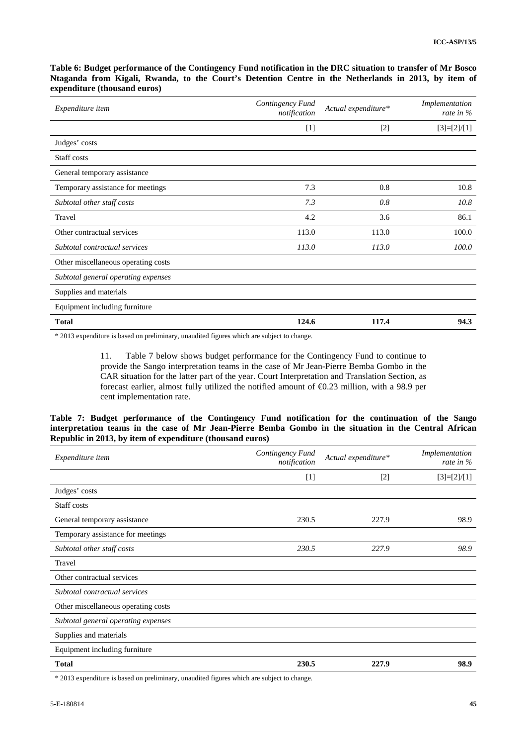#### **Table 6: Budget performance of the Contingency Fund notification in the DRC situation to transfer of Mr Bosco Ntaganda from Kigali, Rwanda, to the Court's Detention Centre in the Netherlands in 2013, by item of expenditure (thousand euros)**

| Expenditure item                    | Contingency Fund<br>notification | Actual expenditure* | Implementation<br>rate in $%$ |
|-------------------------------------|----------------------------------|---------------------|-------------------------------|
|                                     | $[1]$                            | $[2]$               | $[3]=[2]/[1]$                 |
| Judges' costs                       |                                  |                     |                               |
| Staff costs                         |                                  |                     |                               |
| General temporary assistance        |                                  |                     |                               |
| Temporary assistance for meetings   | 7.3                              | 0.8                 | 10.8                          |
| Subtotal other staff costs          | 7.3                              | 0.8                 | 10.8                          |
| Travel                              | 4.2                              | 3.6                 | 86.1                          |
| Other contractual services          | 113.0                            | 113.0               | 100.0                         |
| Subtotal contractual services       | 113.0                            | 113.0               | 100.0                         |
| Other miscellaneous operating costs |                                  |                     |                               |
| Subtotal general operating expenses |                                  |                     |                               |
| Supplies and materials              |                                  |                     |                               |
| Equipment including furniture       |                                  |                     |                               |
| <b>Total</b>                        | 124.6                            | 117.4               | 94.3                          |

\* 2013 expenditure is based on preliminary, unaudited figures which are subject to change.

11. Table 7 below shows budget performance for the Contingency Fund to continue to provide the Sango interpretation teams in the case of Mr Jean-Pierre Bemba Gombo in the CAR situation for the latter part of the year. Court Interpretation and Translation Section, as forecast earlier, almost fully utilized the notified amount of  $\epsilon$ 0.23 million, with a 98.9 per cent implementation rate.

#### **Table 7: Budget performance of the Contingency Fund notification for the continuation of the Sango interpretation teams in the case of Mr Jean-Pierre Bemba Gombo in the situation in the Central African Republic in 2013, by item of expenditure (thousand euros)**

| Expenditure item                    | Contingency Fund<br>notification | Actual expenditure* | Implementation<br>rate in % |
|-------------------------------------|----------------------------------|---------------------|-----------------------------|
|                                     | $[1]$                            | $[2]$               | $[3]=[2]/[1]$               |
| Judges' costs                       |                                  |                     |                             |
| Staff costs                         |                                  |                     |                             |
| General temporary assistance        | 230.5                            | 227.9               | 98.9                        |
| Temporary assistance for meetings   |                                  |                     |                             |
| Subtotal other staff costs          | 230.5                            | 227.9               | 98.9                        |
| Travel                              |                                  |                     |                             |
| Other contractual services          |                                  |                     |                             |
| Subtotal contractual services       |                                  |                     |                             |
| Other miscellaneous operating costs |                                  |                     |                             |
| Subtotal general operating expenses |                                  |                     |                             |
| Supplies and materials              |                                  |                     |                             |
| Equipment including furniture       |                                  |                     |                             |
| <b>Total</b>                        | 230.5                            | 227.9               | 98.9                        |

\* 2013 expenditure is based on preliminary, unaudited figures which are subject to change.